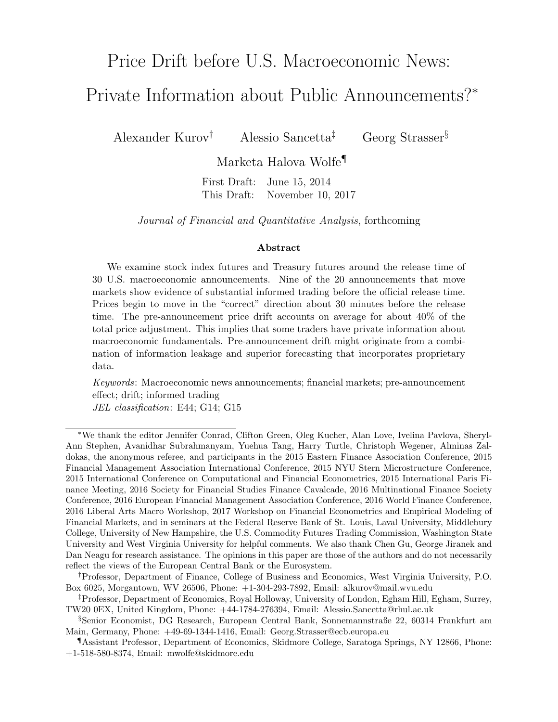# Price Drift before U.S. Macroeconomic News: Private Information about Public Announcements?<sup>∗</sup>

Alexander Kurov† Alessio Sancetta‡ Georg Strasser§

Marketa Halova Wolfe¶

First Draft: June 15, 2014 This Draft: November 10, 2017

Journal of Financial and Quantitative Analysis, forthcoming

#### Abstract

We examine stock index futures and Treasury futures around the release time of 30 U.S. macroeconomic announcements. Nine of the 20 announcements that move markets show evidence of substantial informed trading before the official release time. Prices begin to move in the "correct" direction about 30 minutes before the release time. The pre-announcement price drift accounts on average for about 40% of the total price adjustment. This implies that some traders have private information about macroeconomic fundamentals. Pre-announcement drift might originate from a combination of information leakage and superior forecasting that incorporates proprietary data.

Keywords: Macroeconomic news announcements; financial markets; pre-announcement effect; drift; informed trading JEL classification: E44; G14; G15

<sup>∗</sup>We thank the editor Jennifer Conrad, Clifton Green, Oleg Kucher, Alan Love, Ivelina Pavlova, Sheryl-Ann Stephen, Avanidhar Subrahmanyam, Yuehua Tang, Harry Turtle, Christoph Wegener, Alminas Zaldokas, the anonymous referee, and participants in the 2015 Eastern Finance Association Conference, 2015 Financial Management Association International Conference, 2015 NYU Stern Microstructure Conference, 2015 International Conference on Computational and Financial Econometrics, 2015 International Paris Finance Meeting, 2016 Society for Financial Studies Finance Cavalcade, 2016 Multinational Finance Society Conference, 2016 European Financial Management Association Conference, 2016 World Finance Conference, 2016 Liberal Arts Macro Workshop, 2017 Workshop on Financial Econometrics and Empirical Modeling of Financial Markets, and in seminars at the Federal Reserve Bank of St. Louis, Laval University, Middlebury College, University of New Hampshire, the U.S. Commodity Futures Trading Commission, Washington State University and West Virginia University for helpful comments. We also thank Chen Gu, George Jiranek and Dan Neagu for research assistance. The opinions in this paper are those of the authors and do not necessarily reflect the views of the European Central Bank or the Eurosystem.

<sup>†</sup>Professor, Department of Finance, College of Business and Economics, West Virginia University, P.O. Box 6025, Morgantown, WV 26506, Phone: +1-304-293-7892, Email: alkurov@mail.wvu.edu

<sup>‡</sup>Professor, Department of Economics, Royal Holloway, University of London, Egham Hill, Egham, Surrey, TW20 0EX, United Kingdom, Phone: +44-1784-276394, Email: Alessio.Sancetta@rhul.ac.uk

<sup>§</sup>Senior Economist, DG Research, European Central Bank, Sonnemannstraße 22, 60314 Frankfurt am Main, Germany, Phone: +49-69-1344-1416, Email: Georg.Strasser@ecb.europa.eu

<sup>¶</sup>Assistant Professor, Department of Economics, Skidmore College, Saratoga Springs, NY 12866, Phone: +1-518-580-8374, Email: mwolfe@skidmore.edu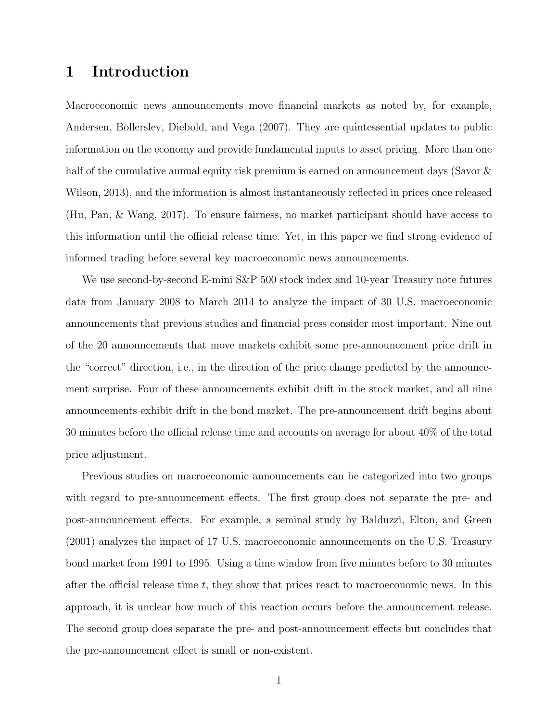# 1 Introduction

Macroeconomic news announcements move financial markets as noted by, for example, Andersen, Bollerslev, Diebold, and Vega (2007). They are quintessential updates to public information on the economy and provide fundamental inputs to asset pricing. More than one half of the cumulative annual equity risk premium is earned on announcement days (Savor & Wilson, 2013), and the information is almost instantaneously reflected in prices once released (Hu, Pan, & Wang, 2017). To ensure fairness, no market participant should have access to this information until the official release time. Yet, in this paper we find strong evidence of informed trading before several key macroeconomic news announcements.

We use second-by-second E-mini S&P 500 stock index and 10-year Treasury note futures data from January 2008 to March 2014 to analyze the impact of 30 U.S. macroeconomic announcements that previous studies and financial press consider most important. Nine out of the 20 announcements that move markets exhibit some pre-announcement price drift in the "correct" direction, i.e., in the direction of the price change predicted by the announcement surprise. Four of these announcements exhibit drift in the stock market, and all nine announcements exhibit drift in the bond market. The pre-announcement drift begins about 30 minutes before the official release time and accounts on average for about 40% of the total price adjustment.

Previous studies on macroeconomic announcements can be categorized into two groups with regard to pre-announcement effects. The first group does not separate the pre- and post-announcement effects. For example, a seminal study by Balduzzi, Elton, and Green (2001) analyzes the impact of 17 U.S. macroeconomic announcements on the U.S. Treasury bond market from 1991 to 1995. Using a time window from five minutes before to 30 minutes after the official release time  $t$ , they show that prices react to macroeconomic news. In this approach, it is unclear how much of this reaction occurs before the announcement release. The second group does separate the pre- and post-announcement effects but concludes that the pre-announcement effect is small or non-existent.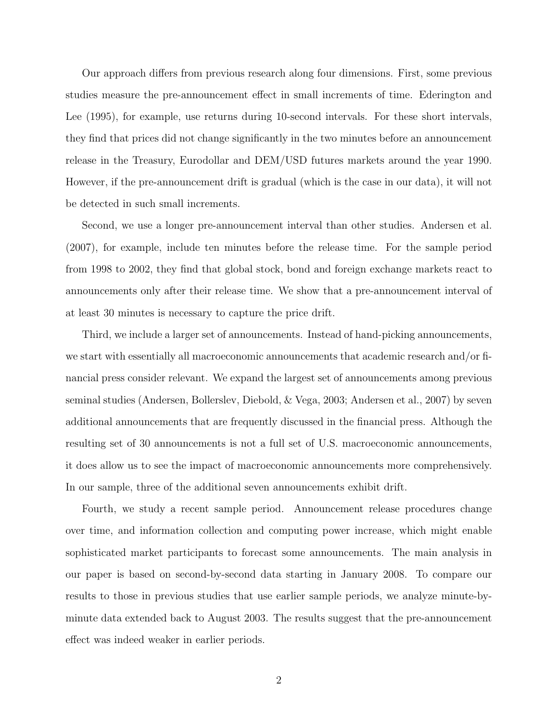Our approach differs from previous research along four dimensions. First, some previous studies measure the pre-announcement effect in small increments of time. Ederington and Lee (1995), for example, use returns during 10-second intervals. For these short intervals, they find that prices did not change significantly in the two minutes before an announcement release in the Treasury, Eurodollar and DEM/USD futures markets around the year 1990. However, if the pre-announcement drift is gradual (which is the case in our data), it will not be detected in such small increments.

Second, we use a longer pre-announcement interval than other studies. Andersen et al. (2007), for example, include ten minutes before the release time. For the sample period from 1998 to 2002, they find that global stock, bond and foreign exchange markets react to announcements only after their release time. We show that a pre-announcement interval of at least 30 minutes is necessary to capture the price drift.

Third, we include a larger set of announcements. Instead of hand-picking announcements, we start with essentially all macroeconomic announcements that academic research and/or financial press consider relevant. We expand the largest set of announcements among previous seminal studies (Andersen, Bollerslev, Diebold, & Vega, 2003; Andersen et al., 2007) by seven additional announcements that are frequently discussed in the financial press. Although the resulting set of 30 announcements is not a full set of U.S. macroeconomic announcements, it does allow us to see the impact of macroeconomic announcements more comprehensively. In our sample, three of the additional seven announcements exhibit drift.

Fourth, we study a recent sample period. Announcement release procedures change over time, and information collection and computing power increase, which might enable sophisticated market participants to forecast some announcements. The main analysis in our paper is based on second-by-second data starting in January 2008. To compare our results to those in previous studies that use earlier sample periods, we analyze minute-byminute data extended back to August 2003. The results suggest that the pre-announcement effect was indeed weaker in earlier periods.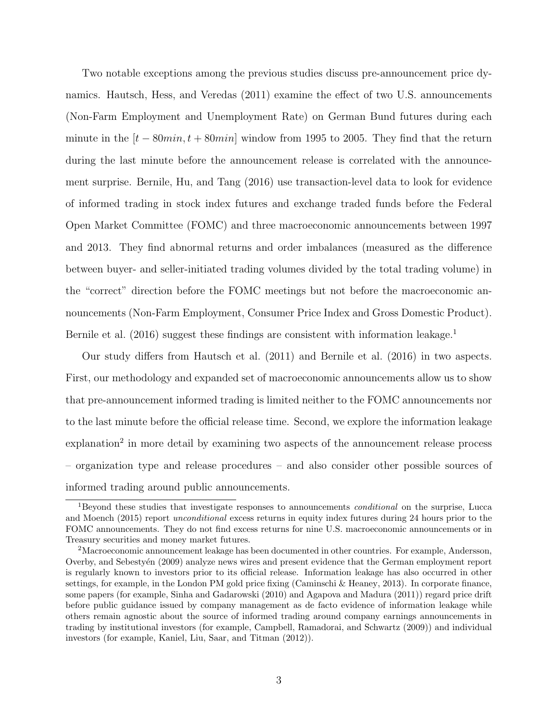Two notable exceptions among the previous studies discuss pre-announcement price dynamics. Hautsch, Hess, and Veredas (2011) examine the effect of two U.S. announcements (Non-Farm Employment and Unemployment Rate) on German Bund futures during each minute in the  $[t - 80min, t + 80min]$  window from 1995 to 2005. They find that the return during the last minute before the announcement release is correlated with the announcement surprise. Bernile, Hu, and Tang (2016) use transaction-level data to look for evidence of informed trading in stock index futures and exchange traded funds before the Federal Open Market Committee (FOMC) and three macroeconomic announcements between 1997 and 2013. They find abnormal returns and order imbalances (measured as the difference between buyer- and seller-initiated trading volumes divided by the total trading volume) in the "correct" direction before the FOMC meetings but not before the macroeconomic announcements (Non-Farm Employment, Consumer Price Index and Gross Domestic Product). Bernile et al.  $(2016)$  suggest these findings are consistent with information leakage.<sup>1</sup>

Our study differs from Hautsch et al. (2011) and Bernile et al. (2016) in two aspects. First, our methodology and expanded set of macroeconomic announcements allow us to show that pre-announcement informed trading is limited neither to the FOMC announcements nor to the last minute before the official release time. Second, we explore the information leakage explanation<sup>2</sup> in more detail by examining two aspects of the announcement release process – organization type and release procedures – and also consider other possible sources of informed trading around public announcements.

<sup>&</sup>lt;sup>1</sup>Beyond these studies that investigate responses to announcements *conditional* on the surprise, Lucca and Moench (2015) report unconditional excess returns in equity index futures during 24 hours prior to the FOMC announcements. They do not find excess returns for nine U.S. macroeconomic announcements or in Treasury securities and money market futures.

<sup>2</sup>Macroeconomic announcement leakage has been documented in other countries. For example, Andersson, Overby, and Sebestyen (2009) analyze news wires and present evidence that the German employment report is regularly known to investors prior to its official release. Information leakage has also occurred in other settings, for example, in the London PM gold price fixing (Caminschi & Heaney, 2013). In corporate finance, some papers (for example, Sinha and Gadarowski (2010) and Agapova and Madura (2011)) regard price drift before public guidance issued by company management as de facto evidence of information leakage while others remain agnostic about the source of informed trading around company earnings announcements in trading by institutional investors (for example, Campbell, Ramadorai, and Schwartz (2009)) and individual investors (for example, Kaniel, Liu, Saar, and Titman (2012)).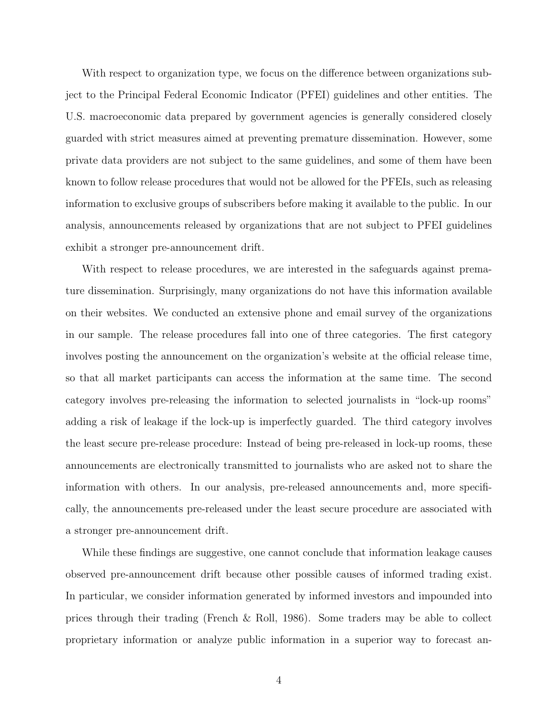With respect to organization type, we focus on the difference between organizations subject to the Principal Federal Economic Indicator (PFEI) guidelines and other entities. The U.S. macroeconomic data prepared by government agencies is generally considered closely guarded with strict measures aimed at preventing premature dissemination. However, some private data providers are not subject to the same guidelines, and some of them have been known to follow release procedures that would not be allowed for the PFEIs, such as releasing information to exclusive groups of subscribers before making it available to the public. In our analysis, announcements released by organizations that are not subject to PFEI guidelines exhibit a stronger pre-announcement drift.

With respect to release procedures, we are interested in the safeguards against premature dissemination. Surprisingly, many organizations do not have this information available on their websites. We conducted an extensive phone and email survey of the organizations in our sample. The release procedures fall into one of three categories. The first category involves posting the announcement on the organization's website at the official release time, so that all market participants can access the information at the same time. The second category involves pre-releasing the information to selected journalists in "lock-up rooms" adding a risk of leakage if the lock-up is imperfectly guarded. The third category involves the least secure pre-release procedure: Instead of being pre-released in lock-up rooms, these announcements are electronically transmitted to journalists who are asked not to share the information with others. In our analysis, pre-released announcements and, more specifically, the announcements pre-released under the least secure procedure are associated with a stronger pre-announcement drift.

While these findings are suggestive, one cannot conclude that information leakage causes observed pre-announcement drift because other possible causes of informed trading exist. In particular, we consider information generated by informed investors and impounded into prices through their trading (French & Roll, 1986). Some traders may be able to collect proprietary information or analyze public information in a superior way to forecast an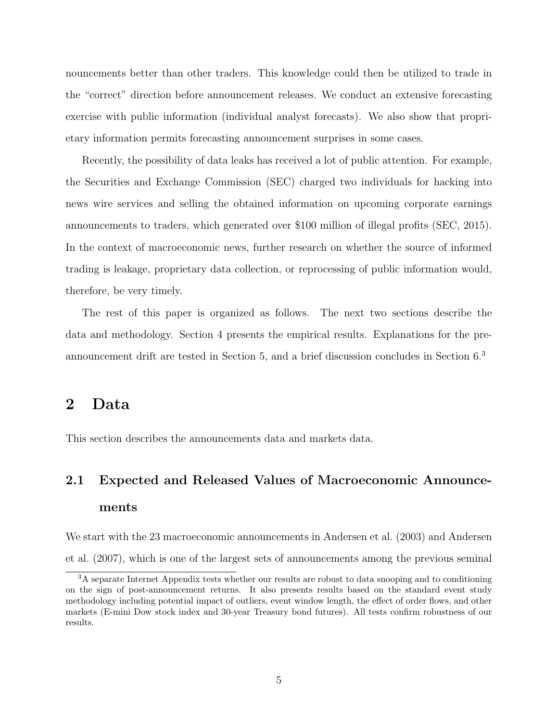nouncements better than other traders. This knowledge could then be utilized to trade in the "correct" direction before announcement releases. We conduct an extensive forecasting exercise with public information (individual analyst forecasts). We also show that proprietary information permits forecasting announcement surprises in some cases.

Recently, the possibility of data leaks has received a lot of public attention. For example, the Securities and Exchange Commission (SEC) charged two individuals for hacking into news wire services and selling the obtained information on upcoming corporate earnings announcements to traders, which generated over \$100 million of illegal profits (SEC, 2015). In the context of macroeconomic news, further research on whether the source of informed trading is leakage, proprietary data collection, or reprocessing of public information would, therefore, be very timely.

The rest of this paper is organized as follows. The next two sections describe the data and methodology. Section 4 presents the empirical results. Explanations for the preannouncement drift are tested in Section 5, and a brief discussion concludes in Section 6.<sup>3</sup>

# 2 Data

This section describes the announcements data and markets data.

# 2.1 Expected and Released Values of Macroeconomic Announcements

We start with the 23 macroeconomic announcements in Andersen et al. (2003) and Andersen et al. (2007), which is one of the largest sets of announcements among the previous seminal

<sup>&</sup>lt;sup>3</sup>A separate Internet Appendix tests whether our results are robust to data snooping and to conditioning on the sign of post-announcement returns. It also presents results based on the standard event study methodology including potential impact of outliers, event window length, the effect of order flows, and other markets (E-mini Dow stock index and 30-year Treasury bond futures). All tests confirm robustness of our results.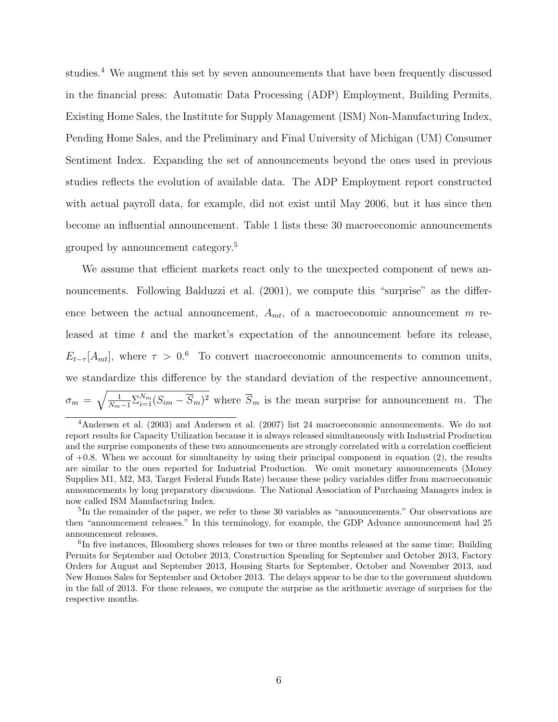studies.<sup>4</sup> We augment this set by seven announcements that have been frequently discussed in the financial press: Automatic Data Processing (ADP) Employment, Building Permits, Existing Home Sales, the Institute for Supply Management (ISM) Non-Manufacturing Index, Pending Home Sales, and the Preliminary and Final University of Michigan (UM) Consumer Sentiment Index. Expanding the set of announcements beyond the ones used in previous studies reflects the evolution of available data. The ADP Employment report constructed with actual payroll data, for example, did not exist until May 2006, but it has since then become an influential announcement. Table 1 lists these 30 macroeconomic announcements grouped by announcement category.<sup>5</sup>

We assume that efficient markets react only to the unexpected component of news announcements. Following Balduzzi et al.  $(2001)$ , we compute this "surprise" as the difference between the actual announcement,  $A_{mt}$ , of a macroeconomic announcement m released at time  $t$  and the market's expectation of the announcement before its release,  $E_{t-\tau}[A_{mt}]$ , where  $\tau > 0.6$  To convert macroeconomic announcements to common units, we standardize this difference by the standard deviation of the respective announcement,  $\sigma_m = \sqrt{\frac{1}{N_m-1}\sum_{i=1}^{N_m}(S_{im}-\overline{S}_m)^2}$  where  $\overline{S}_m$  is the mean surprise for announcement m. The

<sup>5</sup>In the remainder of the paper, we refer to these 30 variables as "announcements." Our observations are then "announcement releases." In this terminology, for example, the GDP Advance announcement had 25 announcement releases.

<sup>4</sup>Andersen et al. (2003) and Andersen et al. (2007) list 24 macroeconomic announcements. We do not report results for Capacity Utilization because it is always released simultaneously with Industrial Production and the surprise components of these two announcements are strongly correlated with a correlation coefficient of  $+0.8$ . When we account for simultaneity by using their principal component in equation (2), the results are similar to the ones reported for Industrial Production. We omit monetary announcements (Money Supplies M1, M2, M3, Target Federal Funds Rate) because these policy variables differ from macroeconomic announcements by long preparatory discussions. The National Association of Purchasing Managers index is now called ISM Manufacturing Index.

<sup>&</sup>lt;sup>6</sup>In five instances, Bloomberg shows releases for two or three months released at the same time: Building Permits for September and October 2013, Construction Spending for September and October 2013, Factory Orders for August and September 2013, Housing Starts for September, October and November 2013, and New Homes Sales for September and October 2013. The delays appear to be due to the government shutdown in the fall of 2013. For these releases, we compute the surprise as the arithmetic average of surprises for the respective months.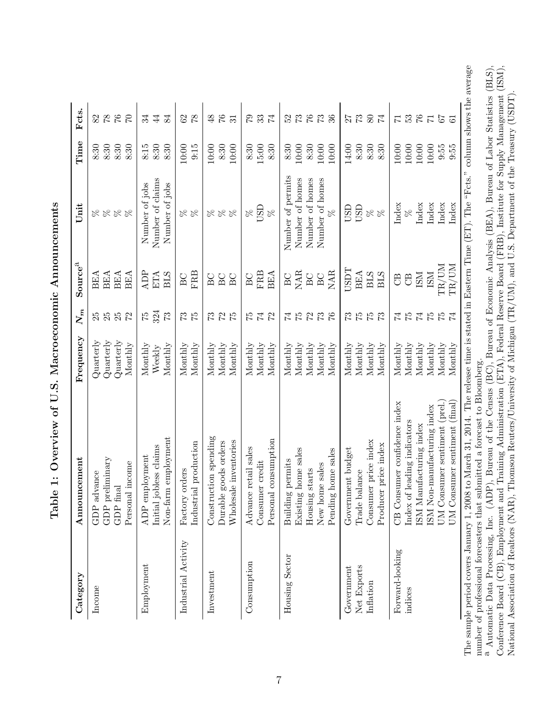| The sample period covers January 1, 2008 to March 31, 2014. The release time is stated in Eastern Time (ET). The "Fcts." column shows the average |                                                                            | Bureau of the Census (BC), Bureau of Economic Analysis (BEA), Bureau of Labor Statistics (BLS), | Conference Board (CB), Employment and Training Administration (ETA), Federal Reserve Board (FRB), Institute for Supply Management (ISM), | National Association of Realtors (NAR), Thomson Reuters/University of Michigan (TR/UM), and U.S. Department of the Treasury (USDT). |
|---------------------------------------------------------------------------------------------------------------------------------------------------|----------------------------------------------------------------------------|-------------------------------------------------------------------------------------------------|------------------------------------------------------------------------------------------------------------------------------------------|-------------------------------------------------------------------------------------------------------------------------------------|
|                                                                                                                                                   |                                                                            |                                                                                                 |                                                                                                                                          |                                                                                                                                     |
|                                                                                                                                                   |                                                                            |                                                                                                 |                                                                                                                                          |                                                                                                                                     |
|                                                                                                                                                   |                                                                            |                                                                                                 |                                                                                                                                          |                                                                                                                                     |
|                                                                                                                                                   |                                                                            |                                                                                                 |                                                                                                                                          |                                                                                                                                     |
|                                                                                                                                                   |                                                                            |                                                                                                 |                                                                                                                                          |                                                                                                                                     |
|                                                                                                                                                   | number of professional forecasters that submitted a forecast to Bloomberg. | " Automatic Data Processing, Inc. (ADP), !                                                      |                                                                                                                                          |                                                                                                                                     |
|                                                                                                                                                   |                                                                            |                                                                                                 |                                                                                                                                          |                                                                                                                                     |
|                                                                                                                                                   |                                                                            |                                                                                                 |                                                                                                                                          |                                                                                                                                     |

| itted a forecast to Bloomberg.<br>umber of professional forecasters that subm. | Bureau of the Census (BC), Bureau of Economic Analysis (BEA), Bureau of Labor Statistics (BLS),<br>\utomatic Data Processing, Inc. (ADP), | caining Administration (ETA), Federal Reserve Board (FRB), Institute for Supply Management (ISM),<br>Conference Board (CB), Employment and Tra | omson Reuters/University of Michigan (TR/UM), and U.S. Department of the Treasury (USDT).<br>1 Association of Realtors (NAR), The<br>lational |
|--------------------------------------------------------------------------------|-------------------------------------------------------------------------------------------------------------------------------------------|------------------------------------------------------------------------------------------------------------------------------------------------|-----------------------------------------------------------------------------------------------------------------------------------------------|

| Category            | Announcement                          | Frequency                  | $\boldsymbol{N_m}$ | Source <sup>a</sup> | Unit                                                                                           | Time             | Fcts.           |
|---------------------|---------------------------------------|----------------------------|--------------------|---------------------|------------------------------------------------------------------------------------------------|------------------|-----------------|
| Income              | GDP advance                           | $\operatorname{Quarterly}$ |                    | BEA                 | $88888$                                                                                        |                  |                 |
|                     | GDP preliminary                       | $\operatorname{Quarterly}$ | 25<br>25           | <b>BEA</b>          |                                                                                                | $8:30$<br>$8:30$ | $\frac{82}{78}$ |
|                     | GDP final                             | $\rm Quarterly$            | 25                 | <b>BEA</b>          |                                                                                                | 8:30             | 76              |
|                     | Personal income                       | Monthly                    | 72                 | <b>BEA</b>          |                                                                                                | 8:30             | $\overline{C}$  |
| Employment          | ADP employment                        | Monthly                    | 52                 | Я                   | Number of jobs                                                                                 | 8:15             | 34              |
|                     | claims<br>Initial jobless             | Weekly                     | 324                | ETA                 | Number of claims                                                                               | 8:30             | $\overline{4}$  |
|                     | Non-farm employment                   | $M$ onthly                 | $\mathbb{Z}$       | <b>BLS</b>          | Number of jobs                                                                                 | 8:30             | 84              |
| Industrial Activity | Factory orders                        | Monthly                    | $\mathcal{E}$      | BC                  |                                                                                                | 10:00            | 62              |
|                     | Industrial production                 | Monthly                    | $\tilde{L}$        | FRB                 | 88                                                                                             | 9:15             | 78              |
| Investment          | spending<br>Construction              | Monthly                    | 73                 | $_{\rm B C}$        |                                                                                                | 10:00            | $\frac{8}{5}$   |
|                     | s orders<br>Durable good              | Monthly                    | 72                 | BC                  | $\begin{aligned} \begin{matrix} \infty & \infty \\ \infty & \infty \end{matrix} \end{aligned}$ | 8:30             | 67              |
|                     | Wholesale inventories                 | Monthly                    | 75                 | BC                  |                                                                                                | 10:00            | 31              |
| Consumption         | Advance retail sales                  | Monthly                    | 52                 | BC                  | $80^{\circ}$                                                                                   |                  | 67              |
|                     | Consumer credit                       | Monthly                    | 74                 | <b>FRB</b>          | USD                                                                                            | $8:30$<br>15:00  | 33              |
|                     | Personal consumption                  | $M$ onthly                 | $\mathbb{Z}$       | <b>BEA</b>          | $\aleph$                                                                                       | 8:30             | $\overline{7}$  |
| Housing Sector      | Building permits                      | Monthly                    | $\overline{74}$    | BC                  | Number of permits                                                                              | 8:30             | $\mathfrak{L}$  |
|                     | Existing home sales                   | Monthly                    | $\mathbb{Z}$       | NAR                 | Number of homes                                                                                | 10:00            | 73              |
|                     | $\tilde{\mathbf{a}}$<br>Housing start | Monthly                    | 72                 | $_{\rm BC}$         | Number of homes                                                                                | 8:30             |                 |
|                     | New home sales                        | Monthly                    |                    | $_{\rm BC}$         | Number of homes                                                                                | 10:00            | $\mathbb{Z}$    |
|                     | Pending home sales                    | Monthly                    | $\overline{76}$    | NAR                 | R                                                                                              | 10:00            | $36\,$          |
| Government          | budget<br>Government                  | Monthly                    | 73                 | <b>LISPL</b>        | <b>GSD</b>                                                                                     | 14:00            | 27              |
| Net Exports         | Trade balance                         | Monthly                    | $\frac{5}{2}$      | <b>BEA</b>          | USD                                                                                            | $8:30$           | 73              |
| Inflation           | Consumer price index                  | Monthly                    | $\tilde{5}$        | <b>BLS</b>          | $\%$ $\%$                                                                                      | 8:30             | $80\,$          |
|                     | Producer price index                  | Monthly                    | 73                 | <b>BLS</b>          |                                                                                                | 8:30             | $\overline{7}$  |
| Forward-looking     | CB Consumer confidence index          | Monthly                    | 74                 | $\Theta$            | Index                                                                                          | 10:00            | $\overline{C}$  |
| indices             | Index of leading indicators           | Monthly                    | 75                 | $\Theta$            | $\aleph$                                                                                       | 10:00            | 53              |
|                     | ISM Manufacturing index               | $M$ onthly                 | $\overline{7}$     | ISM                 | Index                                                                                          | 10:00            | $\sqrt{6}$      |
|                     | ISM Non-manufacturing index           | Monthly                    | $\mathcal{L}$      | ISM                 | Index                                                                                          | $10:00$          | $\overline{7}$  |
|                     | UM Consumer sentiment (prel.)         | Monthly                    | $\tilde{5}$        | $\rm{TR/UM}$        | Index                                                                                          | 9:55             | $5\overline{7}$ |
|                     | $UM$ Consumer sentiment $(final)$     | Monthly                    | $\overline{7}$     | TR/UM               | Index                                                                                          | 9:55             | $\overline{6}$  |

Table 1: Overview of U.S. Macroeconomic Announcements Table 1: Overview of U.S. Macroeconomic Announcements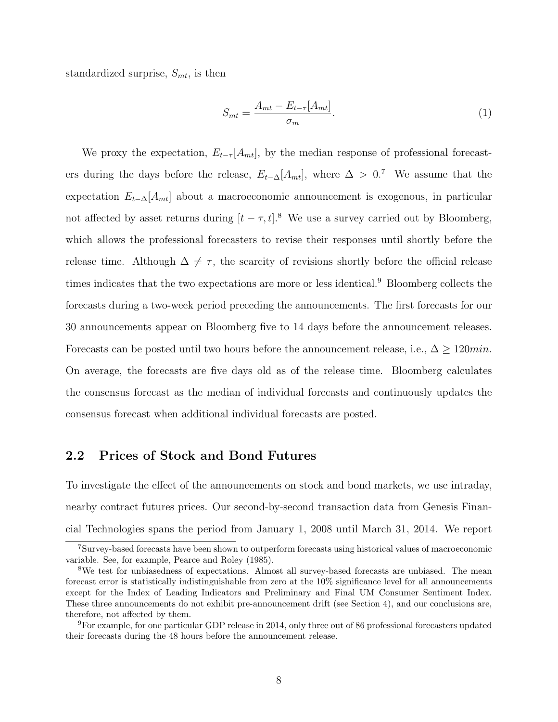standardized surprise,  $S_{mt}$ , is then

$$
S_{mt} = \frac{A_{mt} - E_{t-\tau}[A_{mt}]}{\sigma_m}.
$$
\n<sup>(1)</sup>

We proxy the expectation,  $E_{t-\tau}[A_{mt}]$ , by the median response of professional forecasters during the days before the release,  $E_{t-\Delta}[A_{mt}]$ , where  $\Delta > 0$ .<sup>7</sup> We assume that the expectation  $E_{t-\Delta}[A_{mt}]$  about a macroeconomic announcement is exogenous, in particular not affected by asset returns during  $[t - \tau, t]$ .<sup>8</sup> We use a survey carried out by Bloomberg, which allows the professional forecasters to revise their responses until shortly before the release time. Although  $\Delta \neq \tau$ , the scarcity of revisions shortly before the official release times indicates that the two expectations are more or less identical.<sup>9</sup> Bloomberg collects the forecasts during a two-week period preceding the announcements. The first forecasts for our 30 announcements appear on Bloomberg five to 14 days before the announcement releases. Forecasts can be posted until two hours before the announcement release, i.e.,  $\Delta \geq 120$ min. On average, the forecasts are five days old as of the release time. Bloomberg calculates the consensus forecast as the median of individual forecasts and continuously updates the consensus forecast when additional individual forecasts are posted.

#### 2.2 Prices of Stock and Bond Futures

To investigate the effect of the announcements on stock and bond markets, we use intraday, nearby contract futures prices. Our second-by-second transaction data from Genesis Financial Technologies spans the period from January 1, 2008 until March 31, 2014. We report

<sup>7</sup>Survey-based forecasts have been shown to outperform forecasts using historical values of macroeconomic variable. See, for example, Pearce and Roley (1985).

<sup>8</sup>We test for unbiasedness of expectations. Almost all survey-based forecasts are unbiased. The mean forecast error is statistically indistinguishable from zero at the 10% significance level for all announcements except for the Index of Leading Indicators and Preliminary and Final UM Consumer Sentiment Index. These three announcements do not exhibit pre-announcement drift (see Section 4), and our conclusions are, therefore, not affected by them.

<sup>9</sup>For example, for one particular GDP release in 2014, only three out of 86 professional forecasters updated their forecasts during the 48 hours before the announcement release.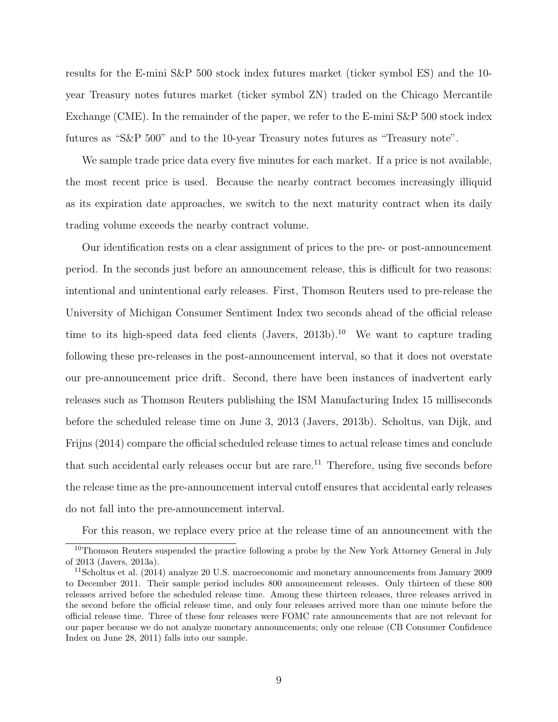results for the E-mini S&P 500 stock index futures market (ticker symbol ES) and the 10 year Treasury notes futures market (ticker symbol ZN) traded on the Chicago Mercantile Exchange (CME). In the remainder of the paper, we refer to the E-mini S&P 500 stock index futures as "S&P 500" and to the 10-year Treasury notes futures as "Treasury note".

We sample trade price data every five minutes for each market. If a price is not available, the most recent price is used. Because the nearby contract becomes increasingly illiquid as its expiration date approaches, we switch to the next maturity contract when its daily trading volume exceeds the nearby contract volume.

Our identification rests on a clear assignment of prices to the pre- or post-announcement period. In the seconds just before an announcement release, this is difficult for two reasons: intentional and unintentional early releases. First, Thomson Reuters used to pre-release the University of Michigan Consumer Sentiment Index two seconds ahead of the official release time to its high-speed data feed clients (Javers,  $2013b$ ).<sup>10</sup> We want to capture trading following these pre-releases in the post-announcement interval, so that it does not overstate our pre-announcement price drift. Second, there have been instances of inadvertent early releases such as Thomson Reuters publishing the ISM Manufacturing Index 15 milliseconds before the scheduled release time on June 3, 2013 (Javers, 2013b). Scholtus, van Dijk, and Frijns (2014) compare the official scheduled release times to actual release times and conclude that such accidental early releases occur but are rare.<sup>11</sup> Therefore, using five seconds before the release time as the pre-announcement interval cutoff ensures that accidental early releases do not fall into the pre-announcement interval.

For this reason, we replace every price at the release time of an announcement with the

<sup>&</sup>lt;sup>10</sup>Thomson Reuters suspended the practice following a probe by the New York Attorney General in July of 2013 (Javers, 2013a).

<sup>&</sup>lt;sup>11</sup>Scholtus et al. (2014) analyze 20 U.S. macroeconomic and monetary announcements from January 2009 to December 2011. Their sample period includes 800 announcement releases. Only thirteen of these 800 releases arrived before the scheduled release time. Among these thirteen releases, three releases arrived in the second before the official release time, and only four releases arrived more than one minute before the official release time. Three of these four releases were FOMC rate announcements that are not relevant for our paper because we do not analyze monetary announcements; only one release (CB Consumer Confidence Index on June 28, 2011) falls into our sample.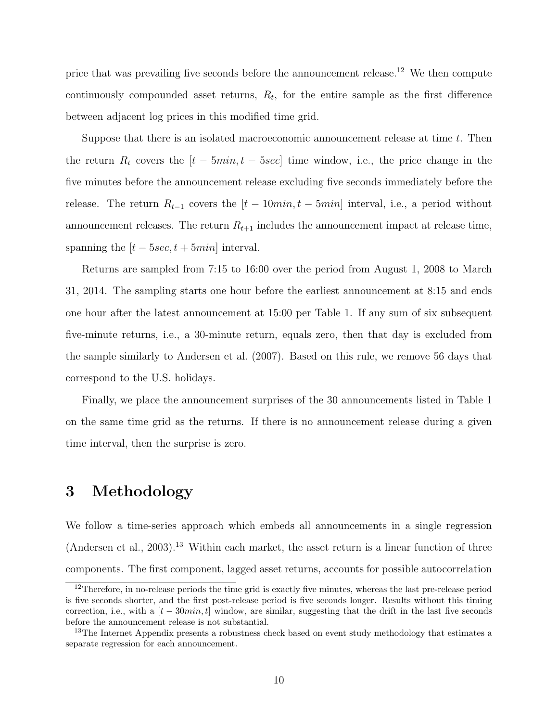price that was prevailing five seconds before the announcement release.<sup>12</sup> We then compute continuously compounded asset returns,  $R_t$ , for the entire sample as the first difference between adjacent log prices in this modified time grid.

Suppose that there is an isolated macroeconomic announcement release at time  $t$ . Then the return  $R_t$  covers the  $[t - 5min, t - 5sec]$  time window, i.e., the price change in the five minutes before the announcement release excluding five seconds immediately before the release. The return  $R_{t-1}$  covers the  $[t-10min, t-5min]$  interval, i.e., a period without announcement releases. The return  $R_{t+1}$  includes the announcement impact at release time, spanning the  $[t - 5sec, t + 5min]$  interval.

Returns are sampled from 7:15 to 16:00 over the period from August 1, 2008 to March 31, 2014. The sampling starts one hour before the earliest announcement at 8:15 and ends one hour after the latest announcement at 15:00 per Table 1. If any sum of six subsequent five-minute returns, i.e., a 30-minute return, equals zero, then that day is excluded from the sample similarly to Andersen et al. (2007). Based on this rule, we remove 56 days that correspond to the U.S. holidays.

Finally, we place the announcement surprises of the 30 announcements listed in Table 1 on the same time grid as the returns. If there is no announcement release during a given time interval, then the surprise is zero.

# 3 Methodology

We follow a time-series approach which embeds all announcements in a single regression  $(Andersen et al., 2003).<sup>13</sup> Within each market, the asset return is a linear function of three$ components. The first component, lagged asset returns, accounts for possible autocorrelation

<sup>&</sup>lt;sup>12</sup>Therefore, in no-release periods the time grid is exactly five minutes, whereas the last pre-release period is five seconds shorter, and the first post-release period is five seconds longer. Results without this timing correction, i.e., with a  $[t - 30min, t]$  window, are similar, suggesting that the drift in the last five seconds before the announcement release is not substantial.

<sup>&</sup>lt;sup>13</sup>The Internet Appendix presents a robustness check based on event study methodology that estimates a separate regression for each announcement.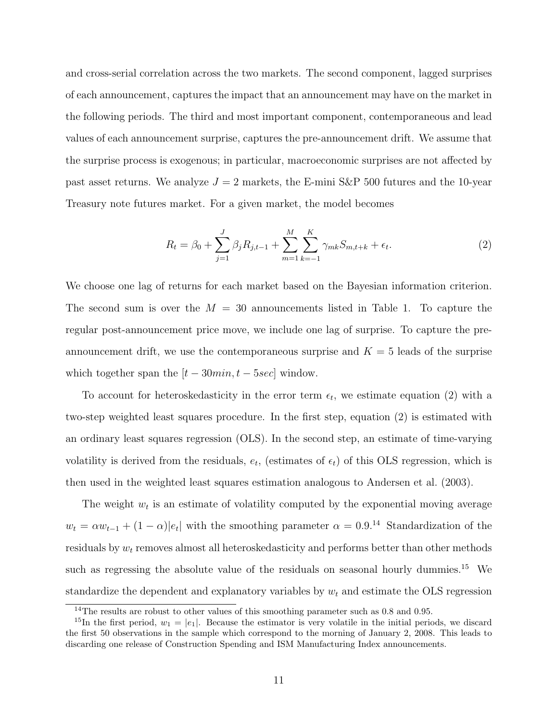and cross-serial correlation across the two markets. The second component, lagged surprises of each announcement, captures the impact that an announcement may have on the market in the following periods. The third and most important component, contemporaneous and lead values of each announcement surprise, captures the pre-announcement drift. We assume that the surprise process is exogenous; in particular, macroeconomic surprises are not affected by past asset returns. We analyze  $J = 2$  markets, the E-mini S&P 500 futures and the 10-year Treasury note futures market. For a given market, the model becomes

$$
R_t = \beta_0 + \sum_{j=1}^{J} \beta_j R_{j,t-1} + \sum_{m=1}^{M} \sum_{k=-1}^{K} \gamma_{mk} S_{m,t+k} + \epsilon_t.
$$
 (2)

We choose one lag of returns for each market based on the Bayesian information criterion. The second sum is over the  $M = 30$  announcements listed in Table 1. To capture the regular post-announcement price move, we include one lag of surprise. To capture the preannouncement drift, we use the contemporaneous surprise and  $K = 5$  leads of the surprise which together span the  $[t - 30min, t - 5sec]$  window.

To account for heteroskedasticity in the error term  $\epsilon_t$ , we estimate equation (2) with a two-step weighted least squares procedure. In the first step, equation (2) is estimated with an ordinary least squares regression (OLS). In the second step, an estimate of time-varying volatility is derived from the residuals,  $e_t$ , (estimates of  $\epsilon_t$ ) of this OLS regression, which is then used in the weighted least squares estimation analogous to Andersen et al. (2003).

The weight  $w_t$  is an estimate of volatility computed by the exponential moving average  $w_t = \alpha w_{t-1} + (1 - \alpha)|e_t|$  with the smoothing parameter  $\alpha = 0.9$ <sup>14</sup> Standardization of the residuals by  $w_t$  removes almost all heteroskedasticity and performs better than other methods such as regressing the absolute value of the residuals on seasonal hourly dummies.<sup>15</sup> We standardize the dependent and explanatory variables by  $w_t$  and estimate the OLS regression

 $14$ The results are robust to other values of this smoothing parameter such as 0.8 and 0.95.

<sup>&</sup>lt;sup>15</sup>In the first period,  $w_1 = |e_1|$ . Because the estimator is very volatile in the initial periods, we discard the first 50 observations in the sample which correspond to the morning of January 2, 2008. This leads to discarding one release of Construction Spending and ISM Manufacturing Index announcements.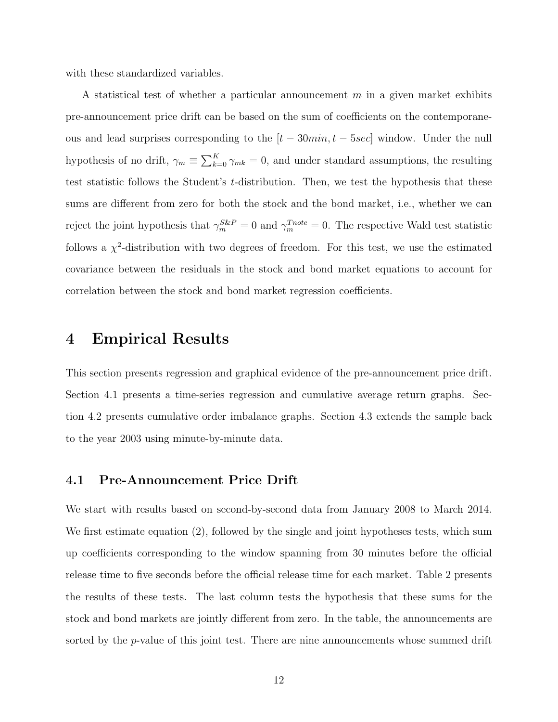with these standardized variables.

A statistical test of whether a particular announcement  $m$  in a given market exhibits pre-announcement price drift can be based on the sum of coefficients on the contemporaneous and lead surprises corresponding to the  $[t - 30min, t - 5sec]$  window. Under the null hypothesis of no drift,  $\gamma_m \equiv \sum_{k=0}^K \gamma_{mk} = 0$ , and under standard assumptions, the resulting test statistic follows the Student's t-distribution. Then, we test the hypothesis that these sums are different from zero for both the stock and the bond market, i.e., whether we can reject the joint hypothesis that  $\gamma_m^{S\&P} = 0$  and  $\gamma_m^{Tnote} = 0$ . The respective Wald test statistic follows a  $\chi^2$ -distribution with two degrees of freedom. For this test, we use the estimated covariance between the residuals in the stock and bond market equations to account for correlation between the stock and bond market regression coefficients.

## 4 Empirical Results

This section presents regression and graphical evidence of the pre-announcement price drift. Section 4.1 presents a time-series regression and cumulative average return graphs. Section 4.2 presents cumulative order imbalance graphs. Section 4.3 extends the sample back to the year 2003 using minute-by-minute data.

#### 4.1 Pre-Announcement Price Drift

We start with results based on second-by-second data from January 2008 to March 2014. We first estimate equation (2), followed by the single and joint hypotheses tests, which sum up coefficients corresponding to the window spanning from 30 minutes before the official release time to five seconds before the official release time for each market. Table 2 presents the results of these tests. The last column tests the hypothesis that these sums for the stock and bond markets are jointly different from zero. In the table, the announcements are sorted by the  $p$ -value of this joint test. There are nine announcements whose summed drift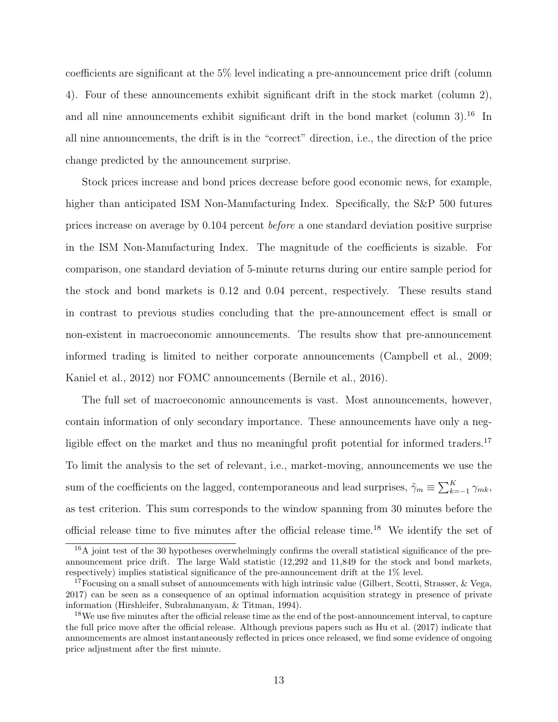coefficients are significant at the 5% level indicating a pre-announcement price drift (column 4). Four of these announcements exhibit significant drift in the stock market (column 2), and all nine announcements exhibit significant drift in the bond market (column  $3$ ).<sup>16</sup> In all nine announcements, the drift is in the "correct" direction, i.e., the direction of the price change predicted by the announcement surprise.

Stock prices increase and bond prices decrease before good economic news, for example, higher than anticipated ISM Non-Manufacturing Index. Specifically, the S&P 500 futures prices increase on average by 0.104 percent before a one standard deviation positive surprise in the ISM Non-Manufacturing Index. The magnitude of the coefficients is sizable. For comparison, one standard deviation of 5-minute returns during our entire sample period for the stock and bond markets is 0.12 and 0.04 percent, respectively. These results stand in contrast to previous studies concluding that the pre-announcement effect is small or non-existent in macroeconomic announcements. The results show that pre-announcement informed trading is limited to neither corporate announcements (Campbell et al., 2009; Kaniel et al., 2012) nor FOMC announcements (Bernile et al., 2016).

The full set of macroeconomic announcements is vast. Most announcements, however, contain information of only secondary importance. These announcements have only a negligible effect on the market and thus no meaningful profit potential for informed traders.<sup>17</sup> To limit the analysis to the set of relevant, i.e., market-moving, announcements we use the sum of the coefficients on the lagged, contemporaneous and lead surprises,  $\tilde{\gamma}_m \equiv \sum_{k=-1}^K \gamma_{mk}$ , as test criterion. This sum corresponds to the window spanning from 30 minutes before the official release time to five minutes after the official release time.<sup>18</sup> We identify the set of

 $16A$  joint test of the 30 hypotheses overwhelmingly confirms the overall statistical significance of the preannouncement price drift. The large Wald statistic (12,292 and 11,849 for the stock and bond markets, respectively) implies statistical significance of the pre-announcement drift at the 1% level.

<sup>&</sup>lt;sup>17</sup>Focusing on a small subset of announcements with high intrinsic value (Gilbert, Scotti, Strasser, & Vega, 2017) can be seen as a consequence of an optimal information acquisition strategy in presence of private information (Hirshleifer, Subrahmanyam, & Titman, 1994).

<sup>&</sup>lt;sup>18</sup>We use five minutes after the official release time as the end of the post-announcement interval, to capture the full price move after the official release. Although previous papers such as Hu et al. (2017) indicate that announcements are almost instantaneously reflected in prices once released, we find some evidence of ongoing price adjustment after the first minute.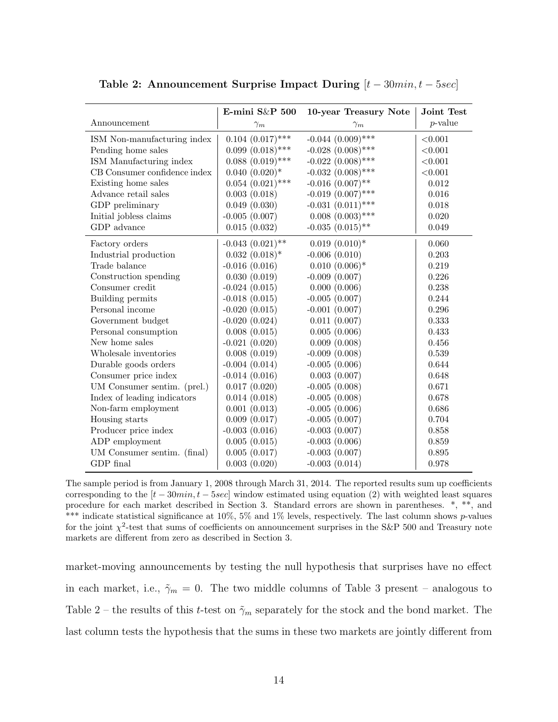|                              | E-mini $S\&P$ 500     | 10-year Treasury Note  | Joint Test  |
|------------------------------|-----------------------|------------------------|-------------|
| Announcement                 | $\gamma_m$            | $\gamma_m$             | $p$ -value  |
| ISM Non-manufacturing index  | $0.104~(0.017)$ ***   | $-0.044~(0.009)$ ***   | < 0.001     |
| Pending home sales           | $0.099(0.018)$ ***    | $-0.028$ $(0.008)$ *** | < 0.001     |
| ISM Manufacturing index      | $0.088~(0.019)$ ***   | $-0.022$ $(0.008)$ *** | < 0.001     |
| CB Consumer confidence index | $0.040~(0.020)*$      | $-0.032$ $(0.008)$ *** | < 0.001     |
| Existing home sales          | $0.054~(0.021)$ ***   | $-0.016$ $(0.007)$ **  | 0.012       |
| Advance retail sales         | 0.003(0.018)          | $-0.019$ $(0.007)$ *** | $0.016\,$   |
| GDP preliminary              | 0.049(0.030)          | $-0.031(0.011)$ ***    | 0.018       |
| Initial jobless claims       | $-0.005(0.007)$       | $0.008(0.003)$ ***     | 0.020       |
| GDP advance                  | 0.015(0.032)          | $-0.035$ $(0.015)$ **  | 0.049       |
| Factory orders               | $-0.043$ $(0.021)$ ** | $0.019~(0.010)*$       | 0.060       |
| Industrial production        | $0.032~(0.018)*$      | $-0.006(0.010)$        | 0.203       |
| Trade balance                | $-0.016(0.016)$       | $0.010~(0.006)*$       | 0.219       |
| Construction spending        | 0.030(0.019)          | $-0.009(0.007)$        | 0.226       |
| Consumer credit              | $-0.024(0.015)$       | 0.000(0.006)           | 0.238       |
| Building permits             | $-0.018(0.015)$       | $-0.005(0.007)$        | 0.244       |
| Personal income              | $-0.020(0.015)$       | $-0.001(0.007)$        | 0.296       |
| Government budget            | $-0.020(0.024)$       | 0.011(0.007)           | 0.333       |
| Personal consumption         | 0.008(0.015)          | 0.005(0.006)           | 0.433       |
| New home sales               | $-0.021(0.020)$       | 0.009(0.008)           | 0.456       |
| Wholesale inventories        | 0.008(0.019)          | $-0.009(0.008)$        | $\,0.539\,$ |
| Durable goods orders         | $-0.004(0.014)$       | $-0.005(0.006)$        | 0.644       |
| Consumer price index         | $-0.014(0.016)$       | 0.003(0.007)           | 0.648       |
| UM Consumer sentim. (prel.)  | 0.017(0.020)          | $-0.005(0.008)$        | 0.671       |
| Index of leading indicators  | 0.014(0.018)          | $-0.005(0.008)$        | 0.678       |
| Non-farm employment          | 0.001(0.013)          | $-0.005(0.006)$        | 0.686       |
| Housing starts               | 0.009(0.017)          | $-0.005(0.007)$        | 0.704       |
| Producer price index         | $-0.003(0.016)$       | $-0.003(0.007)$        | 0.858       |
| ADP employment               | 0.005(0.015)          | $-0.003(0.006)$        | 0.859       |
| UM Consumer sentim. (final)  | 0.005(0.017)          | $-0.003(0.007)$        | 0.895       |
| GDP final                    | 0.003(0.020)          | $-0.003(0.014)$        | 0.978       |

Table 2: Announcement Surprise Impact During  $[t-30min, t-5sec]$ 

The sample period is from January 1, 2008 through March 31, 2014. The reported results sum up coefficients corresponding to the  $[t - 30min, t - 5sec]$  window estimated using equation (2) with weighted least squares procedure for each market described in Section 3. Standard errors are shown in parentheses. \*, \*\*, and \*\*\* indicate statistical significance at  $10\%$ ,  $5\%$  and  $1\%$  levels, respectively. The last column shows p-values for the joint  $\chi^2$ -test that sums of coefficients on announcement surprises in the S&P 500 and Treasury note markets are different from zero as described in Section 3.

market-moving announcements by testing the null hypothesis that surprises have no effect in each market, i.e.,  $\tilde{\gamma}_m = 0$ . The two middle columns of Table 3 present – analogous to Table 2 – the results of this t-test on  $\tilde{\gamma}_m$  separately for the stock and the bond market. The last column tests the hypothesis that the sums in these two markets are jointly different from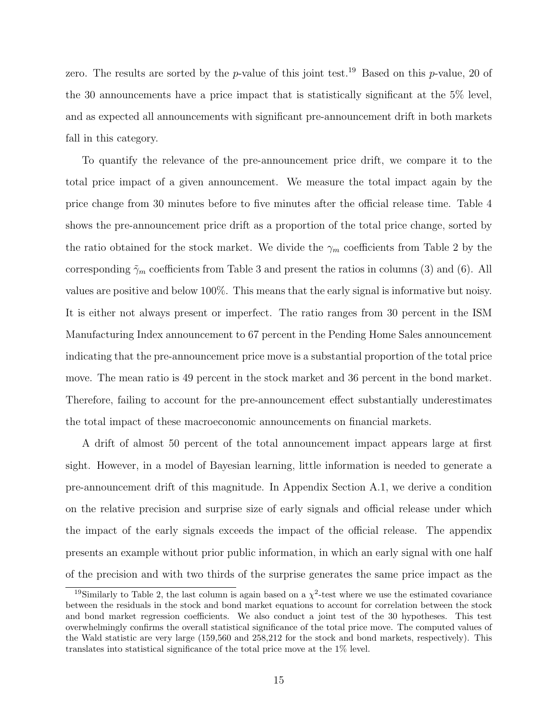zero. The results are sorted by the p-value of this joint test.<sup>19</sup> Based on this p-value, 20 of the 30 announcements have a price impact that is statistically significant at the 5% level, and as expected all announcements with significant pre-announcement drift in both markets fall in this category.

To quantify the relevance of the pre-announcement price drift, we compare it to the total price impact of a given announcement. We measure the total impact again by the price change from 30 minutes before to five minutes after the official release time. Table 4 shows the pre-announcement price drift as a proportion of the total price change, sorted by the ratio obtained for the stock market. We divide the  $\gamma_m$  coefficients from Table 2 by the corresponding  $\tilde{\gamma}_m$  coefficients from Table 3 and present the ratios in columns (3) and (6). All values are positive and below 100%. This means that the early signal is informative but noisy. It is either not always present or imperfect. The ratio ranges from 30 percent in the ISM Manufacturing Index announcement to 67 percent in the Pending Home Sales announcement indicating that the pre-announcement price move is a substantial proportion of the total price move. The mean ratio is 49 percent in the stock market and 36 percent in the bond market. Therefore, failing to account for the pre-announcement effect substantially underestimates the total impact of these macroeconomic announcements on financial markets.

A drift of almost 50 percent of the total announcement impact appears large at first sight. However, in a model of Bayesian learning, little information is needed to generate a pre-announcement drift of this magnitude. In Appendix Section A.1, we derive a condition on the relative precision and surprise size of early signals and official release under which the impact of the early signals exceeds the impact of the official release. The appendix presents an example without prior public information, in which an early signal with one half of the precision and with two thirds of the surprise generates the same price impact as the

<sup>&</sup>lt;sup>19</sup>Similarly to Table 2, the last column is again based on a  $\chi^2$ -test where we use the estimated covariance between the residuals in the stock and bond market equations to account for correlation between the stock and bond market regression coefficients. We also conduct a joint test of the 30 hypotheses. This test overwhelmingly confirms the overall statistical significance of the total price move. The computed values of the Wald statistic are very large (159,560 and 258,212 for the stock and bond markets, respectively). This translates into statistical significance of the total price move at the 1% level.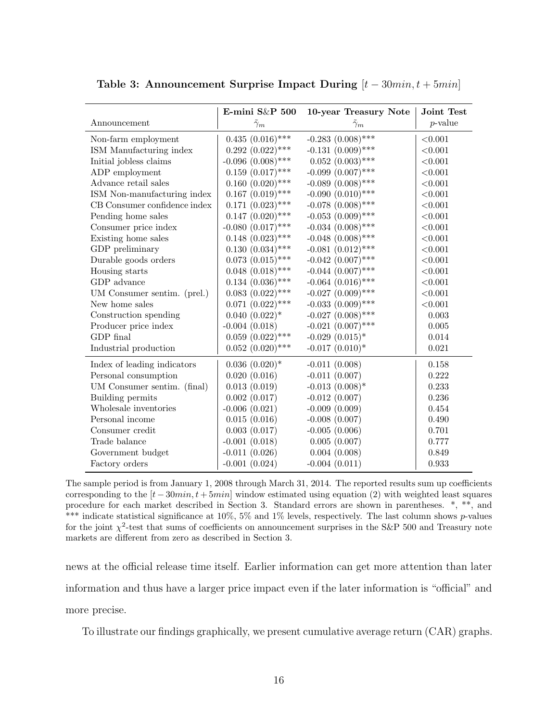|                              | E-mini S&P 500         | 10-year Treasury Note  | Joint Test  |
|------------------------------|------------------------|------------------------|-------------|
| Announcement                 | $\tilde{\gamma}_m$     | $\tilde{\gamma}_m$     | $p$ -value  |
| Non-farm employment          | $0.435(0.016)$ ***     | $-0.283$ $(0.008)$ *** | < 0.001     |
| ISM Manufacturing index      | $0.292~(0.022)$ ***    | $-0.131(0.009)$ ***    | < 0.001     |
| Initial jobless claims       | $-0.096$ $(0.008)$ *** | $0.052~(0.003)$ ***    | < 0.001     |
| ADP employment               | $0.159(0.017)$ ***     | $-0.099$ $(0.007)$ *** | < 0.001     |
| Advance retail sales         | $0.160~(0.020)$ ***    | $-0.089$ $(0.008)$ *** | < 0.001     |
| ISM Non-manufacturing index  | $0.167~(0.019)$ ***    | $-0.090~(0.010)$ ***   | < 0.001     |
| CB Consumer confidence index | $0.171~(0.023)$ ***    | $-0.078$ $(0.008)$ *** | < 0.001     |
| Pending home sales           | $0.147~(0.020)$ ***    | $-0.053$ $(0.009)$ *** | < 0.001     |
| Consumer price index         | $-0.080~(0.017)$ ***   | $-0.034~(0.008)$ ***   | < 0.001     |
| Existing home sales          | $0.148~(0.023)$ ***    | $-0.048$ $(0.008)$ *** | < 0.001     |
| GDP preliminary              | $0.130~(0.034)$ ***    | $-0.081~(0.012)$ ***   | < 0.001     |
| Durable goods orders         | $0.073~(0.015)$ ***    | $-0.042~(0.007)$ ***   | < 0.001     |
| Housing starts               | $0.048~(0.018)$ ***    | $-0.044~(0.007)$ ***   | < 0.001     |
| GDP advance                  | $0.134~(0.036)$ ***    | $-0.064~(0.016)$ ***   | < 0.001     |
| UM Consumer sentim. (prel.)  | $0.083$ $(0.022)$ ***  | $-0.027$ $(0.009)$ *** | < 0.001     |
| New home sales               | $0.071~(0.022)$ ***    | $-0.033$ $(0.009)$ *** | < 0.001     |
| Construction spending        | $0.040~(0.022)*$       | $-0.027$ $(0.008)$ *** | $\,0.003\,$ |
| Producer price index         | $-0.004(0.018)$        | $-0.021~(0.007)$ ***   | 0.005       |
| GDP final                    | $0.059~(0.022)$ ***    | $-0.029$ $(0.015)*$    | $0.014\,$   |
| Industrial production        | $0.052$ $(0.020)$ ***  | $-0.017$ $(0.010)*$    | 0.021       |
| Index of leading indicators  | $0.036~(0.020)*$       | $-0.011(0.008)$        | 0.158       |
| Personal consumption         | 0.020(0.016)           | $-0.011(0.007)$        | 0.222       |
| UM Consumer sentim. (final)  | 0.013(0.019)           | $-0.013$ $(0.008)$ *   | 0.233       |
| Building permits             | 0.002(0.017)           | $-0.012(0.007)$        | $0.236\,$   |
| Wholesale inventories        | $-0.006(0.021)$        | $-0.009(0.009)$        | 0.454       |
| Personal income              | 0.015(0.016)           | $-0.008(0.007)$        | 0.490       |
| Consumer credit              | 0.003(0.017)           | $-0.005(0.006)$        | 0.701       |
| Trade balance                | $-0.001(0.018)$        | 0.005(0.007)           | 0.777       |
| Government budget            | $-0.011(0.026)$        | 0.004(0.008)           | 0.849       |
| Factory orders               | $-0.001(0.024)$        | $-0.004(0.011)$        | 0.933       |

Table 3: Announcement Surprise Impact During  $[t-30min, t+5min]$ 

The sample period is from January 1, 2008 through March 31, 2014. The reported results sum up coefficients corresponding to the  $[t - 30min, t + 5min]$  window estimated using equation (2) with weighted least squares procedure for each market described in Section 3. Standard errors are shown in parentheses. \*, \*\*, and \*\*\* indicate statistical significance at  $10\%$ ,  $5\%$  and  $1\%$  levels, respectively. The last column shows p-values for the joint  $\chi^2$ -test that sums of coefficients on announcement surprises in the S&P 500 and Treasury note markets are different from zero as described in Section 3.

news at the official release time itself. Earlier information can get more attention than later information and thus have a larger price impact even if the later information is "official" and more precise.

To illustrate our findings graphically, we present cumulative average return (CAR) graphs.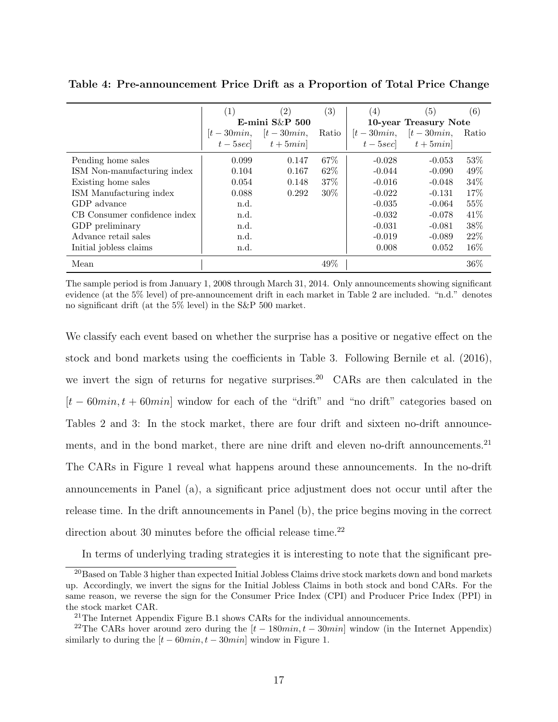|                              | (1)   | (2)                                  | (3)   | (4)         | (5)                                  | (6)   |
|------------------------------|-------|--------------------------------------|-------|-------------|--------------------------------------|-------|
|                              |       | E-mini $S\&P$ 500                    |       |             | 10-year Treasury Note                |       |
|                              |       | $[t - 30min,$ $[t - 30min,$          | Ratio | $[t-30min,$ | $[t-30min,$                          | Ratio |
|                              |       | $t - 5\sec\left $ $t + 5\min\right $ |       |             | $t - 5\sec\left $ $t + 5\min\right $ |       |
| Pending home sales           | 0.099 | 0.147                                | 67\%  | $-0.028$    | $-0.053$                             | 53\%  |
| ISM Non-manufacturing index  | 0.104 | 0.167                                | 62\%  | $-0.044$    | $-0.090$                             | 49\%  |
| Existing home sales          | 0.054 | 0.148                                | 37%   | $-0.016$    | $-0.048$                             | 34%   |
| ISM Manufacturing index      | 0.088 | 0.292                                | 30\%  | $-0.022$    | $-0.131$                             | 17\%  |
| GDP advance                  | n.d.  |                                      |       | $-0.035$    | $-0.064$                             | 55%   |
| CB Consumer confidence index | n.d.  |                                      |       | $-0.032$    | $-0.078$                             | 41\%  |
| GDP preliminary              | n.d.  |                                      |       | $-0.031$    | $-0.081$                             | 38\%  |
| Advance retail sales         | n.d.  |                                      |       | $-0.019$    | $-0.089$                             | 22%   |
| Initial jobless claims       | n.d.  |                                      |       | 0.008       | 0.052                                | 16%   |
| Mean                         |       |                                      | 49%   |             |                                      | 36%   |

Table 4: Pre-announcement Price Drift as a Proportion of Total Price Change

The sample period is from January 1, 2008 through March 31, 2014. Only announcements showing significant evidence (at the 5% level) of pre-announcement drift in each market in Table 2 are included. "n.d." denotes no significant drift (at the 5% level) in the S&P 500 market.

We classify each event based on whether the surprise has a positive or negative effect on the stock and bond markets using the coefficients in Table 3. Following Bernile et al. (2016), we invert the sign of returns for negative surprises.<sup>20</sup> CARs are then calculated in the  $[t - 60min, t + 60min]$  window for each of the "drift" and "no drift" categories based on Tables 2 and 3: In the stock market, there are four drift and sixteen no-drift announcements, and in the bond market, there are nine drift and eleven no-drift announcements.<sup>21</sup> The CARs in Figure 1 reveal what happens around these announcements. In the no-drift announcements in Panel (a), a significant price adjustment does not occur until after the release time. In the drift announcements in Panel (b), the price begins moving in the correct direction about 30 minutes before the official release time. $^{22}$ 

In terms of underlying trading strategies it is interesting to note that the significant pre-

<sup>&</sup>lt;sup>20</sup>Based on Table 3 higher than expected Initial Jobless Claims drive stock markets down and bond markets up. Accordingly, we invert the signs for the Initial Jobless Claims in both stock and bond CARs. For the same reason, we reverse the sign for the Consumer Price Index (CPI) and Producer Price Index (PPI) in the stock market CAR.

<sup>21</sup>The Internet Appendix Figure B.1 shows CARs for the individual announcements.

<sup>&</sup>lt;sup>22</sup>The CARs hover around zero during the  $[t - 180min, t - 30min]$  window (in the Internet Appendix) similarly to during the  $[t - 60min, t - 30min]$  window in Figure 1.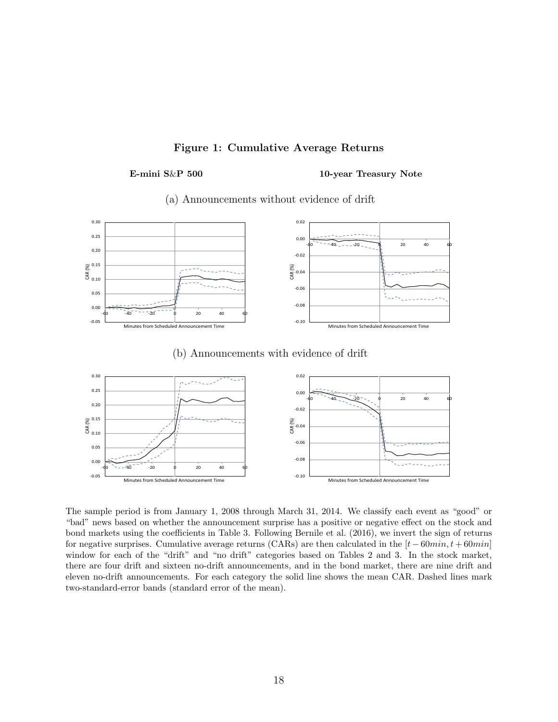#### Figure 1: Cumulative Average Returns

#### E-mini S&P 500 10-year Treasury Note





#### (b) Announcements with evidence of drift



The sample period is from January 1, 2008 through March 31, 2014. We classify each event as "good" or "bad" news based on whether the announcement surprise has a positive or negative effect on the stock and bond markets using the coefficients in Table 3. Following Bernile et al. (2016), we invert the sign of returns for negative surprises. Cumulative average returns (CARs) are then calculated in the  $[t - 60min, t + 60min]$ window for each of the "drift" and "no drift" categories based on Tables 2 and 3. In the stock market, there are four drift and sixteen no-drift announcements, and in the bond market, there are nine drift and eleven no-drift announcements. For each category the solid line shows the mean CAR. Dashed lines mark two-standard-error bands (standard error of the mean).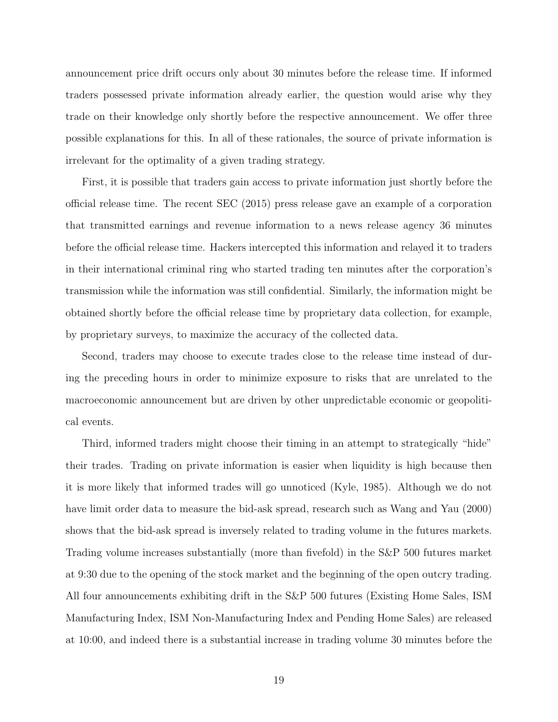announcement price drift occurs only about 30 minutes before the release time. If informed traders possessed private information already earlier, the question would arise why they trade on their knowledge only shortly before the respective announcement. We offer three possible explanations for this. In all of these rationales, the source of private information is irrelevant for the optimality of a given trading strategy.

First, it is possible that traders gain access to private information just shortly before the official release time. The recent SEC (2015) press release gave an example of a corporation that transmitted earnings and revenue information to a news release agency 36 minutes before the official release time. Hackers intercepted this information and relayed it to traders in their international criminal ring who started trading ten minutes after the corporation's transmission while the information was still confidential. Similarly, the information might be obtained shortly before the official release time by proprietary data collection, for example, by proprietary surveys, to maximize the accuracy of the collected data.

Second, traders may choose to execute trades close to the release time instead of during the preceding hours in order to minimize exposure to risks that are unrelated to the macroeconomic announcement but are driven by other unpredictable economic or geopolitical events.

Third, informed traders might choose their timing in an attempt to strategically "hide" their trades. Trading on private information is easier when liquidity is high because then it is more likely that informed trades will go unnoticed (Kyle, 1985). Although we do not have limit order data to measure the bid-ask spread, research such as Wang and Yau (2000) shows that the bid-ask spread is inversely related to trading volume in the futures markets. Trading volume increases substantially (more than fivefold) in the S&P 500 futures market at 9:30 due to the opening of the stock market and the beginning of the open outcry trading. All four announcements exhibiting drift in the S&P 500 futures (Existing Home Sales, ISM Manufacturing Index, ISM Non-Manufacturing Index and Pending Home Sales) are released at 10:00, and indeed there is a substantial increase in trading volume 30 minutes before the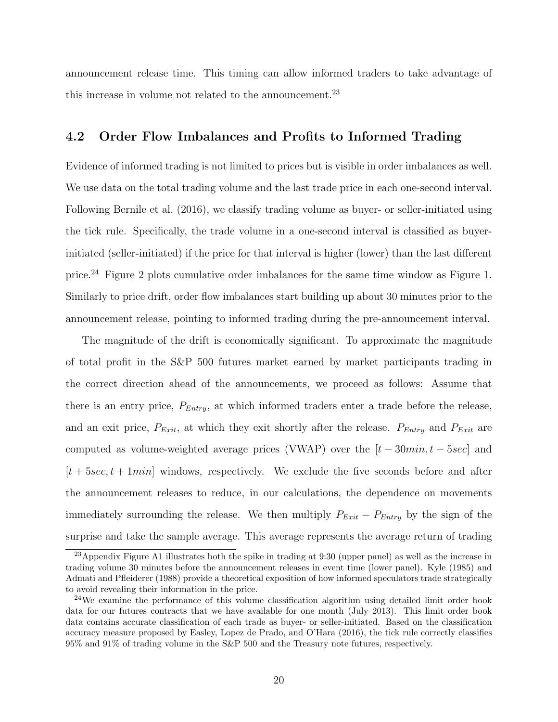announcement release time. This timing can allow informed traders to take advantage of this increase in volume not related to the announcement.<sup>23</sup>

#### 4.2 Order Flow Imbalances and Profits to Informed Trading

Evidence of informed trading is not limited to prices but is visible in order imbalances as well. We use data on the total trading volume and the last trade price in each one-second interval. Following Bernile et al. (2016), we classify trading volume as buyer- or seller-initiated using the tick rule. Specifically, the trade volume in a one-second interval is classified as buyerinitiated (seller-initiated) if the price for that interval is higher (lower) than the last different price.<sup>24</sup> Figure 2 plots cumulative order imbalances for the same time window as Figure 1. Similarly to price drift, order flow imbalances start building up about 30 minutes prior to the announcement release, pointing to informed trading during the pre-announcement interval.

The magnitude of the drift is economically significant. To approximate the magnitude of total profit in the S&P 500 futures market earned by market participants trading in the correct direction ahead of the announcements, we proceed as follows: Assume that there is an entry price,  $P_{Entry}$ , at which informed traders enter a trade before the release, and an exit price,  $P_{Exit}$ , at which they exit shortly after the release.  $P_{Entry}$  and  $P_{Exit}$  are computed as volume-weighted average prices (VWAP) over the  $[t - 30min, t - 5sec]$  and  $[t + 5\sec, t + 1\min]$  windows, respectively. We exclude the five seconds before and after the announcement releases to reduce, in our calculations, the dependence on movements immediately surrounding the release. We then multiply  $P_{Exit} - P_{Entry}$  by the sign of the surprise and take the sample average. This average represents the average return of trading

<sup>&</sup>lt;sup>23</sup>Appendix Figure A1 illustrates both the spike in trading at  $9:30$  (upper panel) as well as the increase in trading volume 30 minutes before the announcement releases in event time (lower panel). Kyle (1985) and Admati and Pfleiderer (1988) provide a theoretical exposition of how informed speculators trade strategically to avoid revealing their information in the price.

<sup>&</sup>lt;sup>24</sup>We examine the performance of this volume classification algorithm using detailed limit order book data for our futures contracts that we have available for one month (July 2013). This limit order book data contains accurate classification of each trade as buyer- or seller-initiated. Based on the classification accuracy measure proposed by Easley, Lopez de Prado, and O'Hara (2016), the tick rule correctly classifies 95% and 91% of trading volume in the S&P 500 and the Treasury note futures, respectively.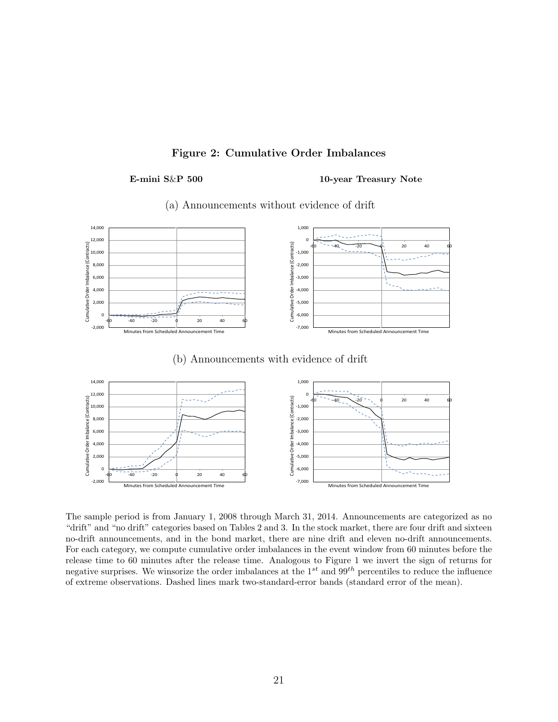#### Figure 2: Cumulative Order Imbalances

#### E-mini S&P 500 10-year Treasury Note



#### (a) Announcements without evidence of drift

(b) Announcements with evidence of drift



The sample period is from January 1, 2008 through March 31, 2014. Announcements are categorized as no "drift" and "no drift" categories based on Tables 2 and 3. In the stock market, there are four drift and sixteen no-drift announcements, and in the bond market, there are nine drift and eleven no-drift announcements. For each category, we compute cumulative order imbalances in the event window from 60 minutes before the release time to 60 minutes after the release time. Analogous to Figure 1 we invert the sign of returns for negative surprises. We winsorize the order imbalances at the  $1^{st}$  and  $99^{th}$  percentiles to reduce the influence of extreme observations. Dashed lines mark two-standard-error bands (standard error of the mean).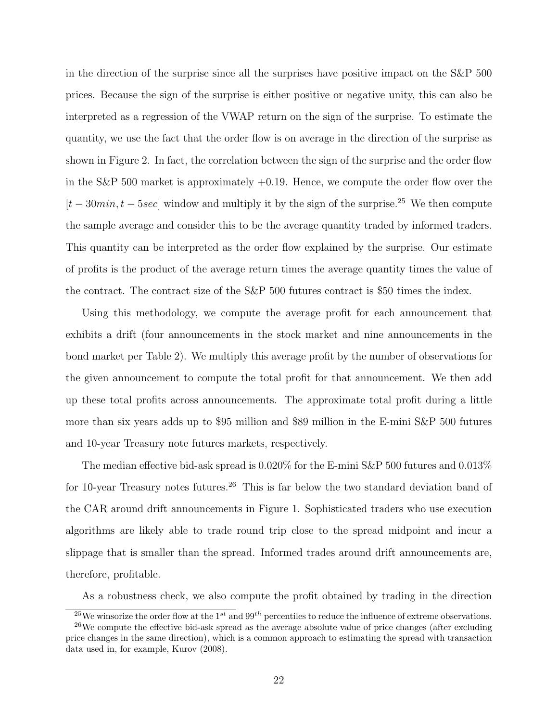in the direction of the surprise since all the surprises have positive impact on the S&P 500 prices. Because the sign of the surprise is either positive or negative unity, this can also be interpreted as a regression of the VWAP return on the sign of the surprise. To estimate the quantity, we use the fact that the order flow is on average in the direction of the surprise as shown in Figure 2. In fact, the correlation between the sign of the surprise and the order flow in the S&P 500 market is approximately  $+0.19$ . Hence, we compute the order flow over the  $[t-30min, t-5sec]$  window and multiply it by the sign of the surprise.<sup>25</sup> We then compute the sample average and consider this to be the average quantity traded by informed traders. This quantity can be interpreted as the order flow explained by the surprise. Our estimate of profits is the product of the average return times the average quantity times the value of the contract. The contract size of the S&P 500 futures contract is \$50 times the index.

Using this methodology, we compute the average profit for each announcement that exhibits a drift (four announcements in the stock market and nine announcements in the bond market per Table 2). We multiply this average profit by the number of observations for the given announcement to compute the total profit for that announcement. We then add up these total profits across announcements. The approximate total profit during a little more than six years adds up to \$95 million and \$89 million in the E-mini S&P 500 futures and 10-year Treasury note futures markets, respectively.

The median effective bid-ask spread is 0.020% for the E-mini S&P 500 futures and 0.013% for 10-year Treasury notes futures.<sup>26</sup> This is far below the two standard deviation band of the CAR around drift announcements in Figure 1. Sophisticated traders who use execution algorithms are likely able to trade round trip close to the spread midpoint and incur a slippage that is smaller than the spread. Informed trades around drift announcements are, therefore, profitable.

As a robustness check, we also compute the profit obtained by trading in the direction

<sup>&</sup>lt;sup>25</sup>We winsorize the order flow at the 1<sup>st</sup> and 99<sup>th</sup> percentiles to reduce the influence of extreme observations.

 $26$ We compute the effective bid-ask spread as the average absolute value of price changes (after excluding price changes in the same direction), which is a common approach to estimating the spread with transaction data used in, for example, Kurov (2008).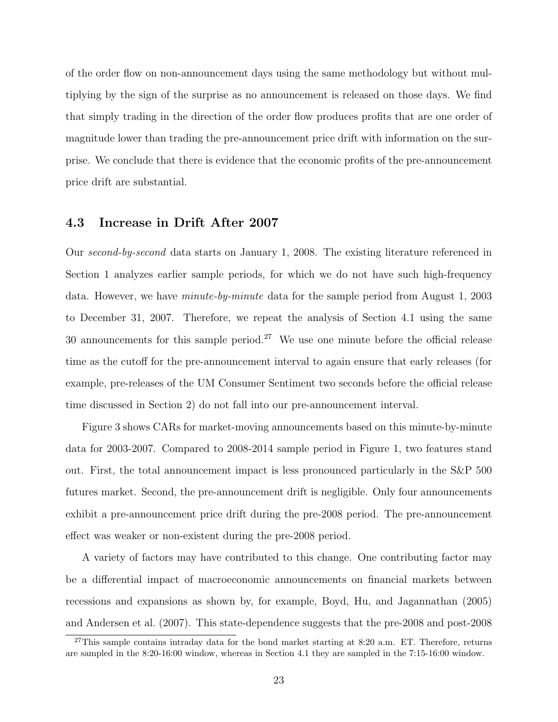of the order flow on non-announcement days using the same methodology but without multiplying by the sign of the surprise as no announcement is released on those days. We find that simply trading in the direction of the order flow produces profits that are one order of magnitude lower than trading the pre-announcement price drift with information on the surprise. We conclude that there is evidence that the economic profits of the pre-announcement price drift are substantial.

#### 4.3 Increase in Drift After 2007

Our second-by-second data starts on January 1, 2008. The existing literature referenced in Section 1 analyzes earlier sample periods, for which we do not have such high-frequency data. However, we have minute-by-minute data for the sample period from August 1, 2003 to December 31, 2007. Therefore, we repeat the analysis of Section 4.1 using the same 30 announcements for this sample period.<sup>27</sup> We use one minute before the official release time as the cutoff for the pre-announcement interval to again ensure that early releases (for example, pre-releases of the UM Consumer Sentiment two seconds before the official release time discussed in Section 2) do not fall into our pre-announcement interval.

Figure 3 shows CARs for market-moving announcements based on this minute-by-minute data for 2003-2007. Compared to 2008-2014 sample period in Figure 1, two features stand out. First, the total announcement impact is less pronounced particularly in the S&P 500 futures market. Second, the pre-announcement drift is negligible. Only four announcements exhibit a pre-announcement price drift during the pre-2008 period. The pre-announcement effect was weaker or non-existent during the pre-2008 period.

A variety of factors may have contributed to this change. One contributing factor may be a differential impact of macroeconomic announcements on financial markets between recessions and expansions as shown by, for example, Boyd, Hu, and Jagannathan (2005) and Andersen et al. (2007). This state-dependence suggests that the pre-2008 and post-2008

 $27$ This sample contains intraday data for the bond market starting at 8:20 a.m. ET. Therefore, returns are sampled in the 8:20-16:00 window, whereas in Section 4.1 they are sampled in the 7:15-16:00 window.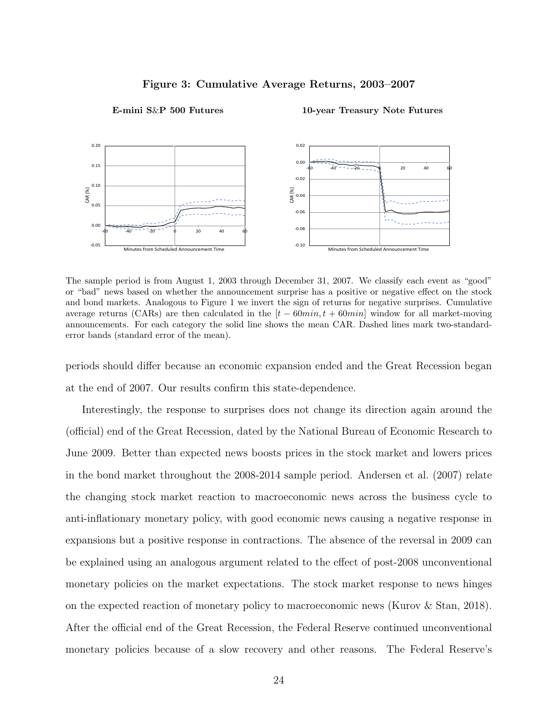

#### Figure 3: Cumulative Average Returns, 2003–2007

E-mini S&P 500 Futures 10-year Treasury Note Futures

The sample period is from August 1, 2003 through December 31, 2007. We classify each event as "good" or "bad" news based on whether the announcement surprise has a positive or negative effect on the stock and bond markets. Analogous to Figure 1 we invert the sign of returns for negative surprises. Cumulative average returns (CARs) are then calculated in the  $[t - 60min, t + 60min]$  window for all market-moving announcements. For each category the solid line shows the mean CAR. Dashed lines mark two-standarderror bands (standard error of the mean).

periods should differ because an economic expansion ended and the Great Recession began at the end of 2007. Our results confirm this state-dependence.

Interestingly, the response to surprises does not change its direction again around the (official) end of the Great Recession, dated by the National Bureau of Economic Research to June 2009. Better than expected news boosts prices in the stock market and lowers prices in the bond market throughout the 2008-2014 sample period. Andersen et al. (2007) relate the changing stock market reaction to macroeconomic news across the business cycle to anti-inflationary monetary policy, with good economic news causing a negative response in expansions but a positive response in contractions. The absence of the reversal in 2009 can be explained using an analogous argument related to the effect of post-2008 unconventional monetary policies on the market expectations. The stock market response to news hinges on the expected reaction of monetary policy to macroeconomic news (Kurov & Stan, 2018). After the official end of the Great Recession, the Federal Reserve continued unconventional monetary policies because of a slow recovery and other reasons. The Federal Reserve's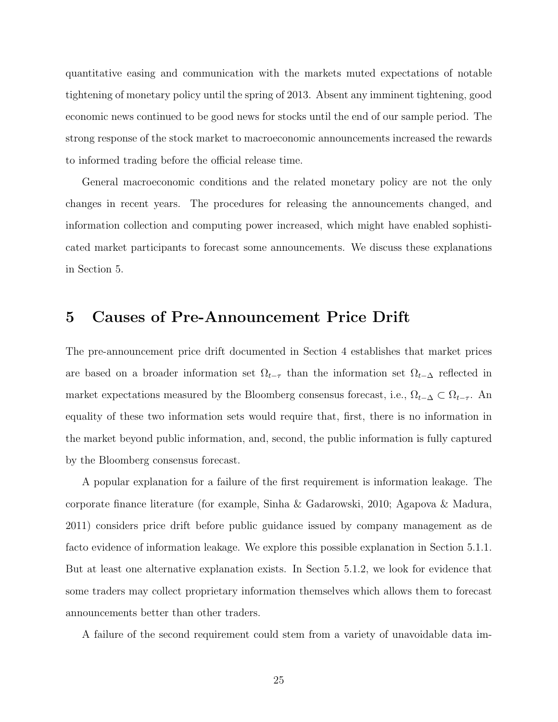quantitative easing and communication with the markets muted expectations of notable tightening of monetary policy until the spring of 2013. Absent any imminent tightening, good economic news continued to be good news for stocks until the end of our sample period. The strong response of the stock market to macroeconomic announcements increased the rewards to informed trading before the official release time.

General macroeconomic conditions and the related monetary policy are not the only changes in recent years. The procedures for releasing the announcements changed, and information collection and computing power increased, which might have enabled sophisticated market participants to forecast some announcements. We discuss these explanations in Section 5.

# 5 Causes of Pre-Announcement Price Drift

The pre-announcement price drift documented in Section 4 establishes that market prices are based on a broader information set  $\Omega_{t-\tau}$  than the information set  $\Omega_{t-\Delta}$  reflected in market expectations measured by the Bloomberg consensus forecast, i.e.,  $\Omega_{t-\Delta} \subset \Omega_{t-\tau}$ . An equality of these two information sets would require that, first, there is no information in the market beyond public information, and, second, the public information is fully captured by the Bloomberg consensus forecast.

A popular explanation for a failure of the first requirement is information leakage. The corporate finance literature (for example, Sinha & Gadarowski, 2010; Agapova & Madura, 2011) considers price drift before public guidance issued by company management as de facto evidence of information leakage. We explore this possible explanation in Section 5.1.1. But at least one alternative explanation exists. In Section 5.1.2, we look for evidence that some traders may collect proprietary information themselves which allows them to forecast announcements better than other traders.

A failure of the second requirement could stem from a variety of unavoidable data im-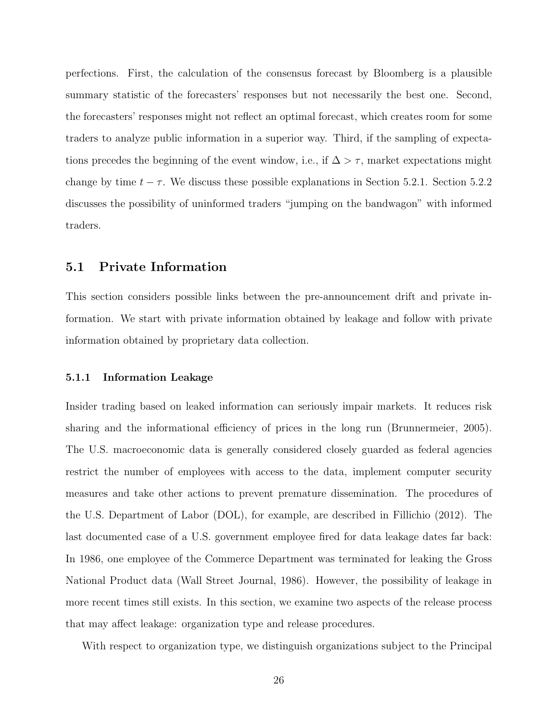perfections. First, the calculation of the consensus forecast by Bloomberg is a plausible summary statistic of the forecasters' responses but not necessarily the best one. Second, the forecasters' responses might not reflect an optimal forecast, which creates room for some traders to analyze public information in a superior way. Third, if the sampling of expectations precedes the beginning of the event window, i.e., if  $\Delta > \tau$ , market expectations might change by time  $t - \tau$ . We discuss these possible explanations in Section 5.2.1. Section 5.2.2 discusses the possibility of uninformed traders "jumping on the bandwagon" with informed traders.

#### 5.1 Private Information

This section considers possible links between the pre-announcement drift and private information. We start with private information obtained by leakage and follow with private information obtained by proprietary data collection.

#### 5.1.1 Information Leakage

Insider trading based on leaked information can seriously impair markets. It reduces risk sharing and the informational efficiency of prices in the long run (Brunnermeier, 2005). The U.S. macroeconomic data is generally considered closely guarded as federal agencies restrict the number of employees with access to the data, implement computer security measures and take other actions to prevent premature dissemination. The procedures of the U.S. Department of Labor (DOL), for example, are described in Fillichio (2012). The last documented case of a U.S. government employee fired for data leakage dates far back: In 1986, one employee of the Commerce Department was terminated for leaking the Gross National Product data (Wall Street Journal, 1986). However, the possibility of leakage in more recent times still exists. In this section, we examine two aspects of the release process that may affect leakage: organization type and release procedures.

With respect to organization type, we distinguish organizations subject to the Principal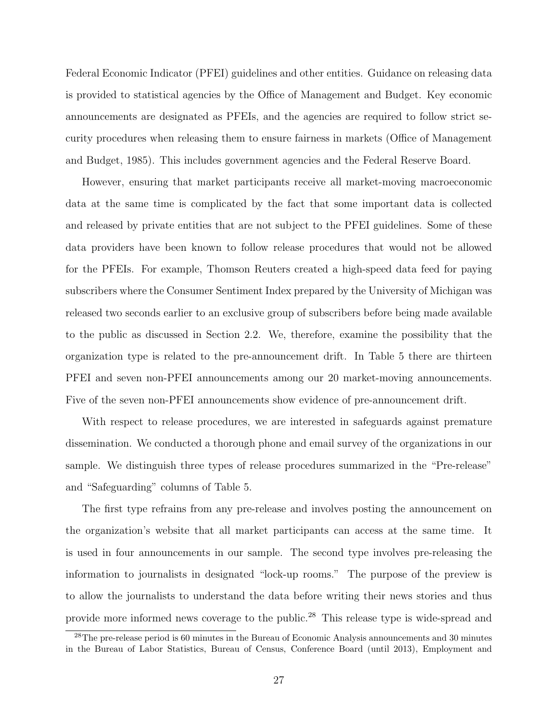Federal Economic Indicator (PFEI) guidelines and other entities. Guidance on releasing data is provided to statistical agencies by the Office of Management and Budget. Key economic announcements are designated as PFEIs, and the agencies are required to follow strict security procedures when releasing them to ensure fairness in markets (Office of Management and Budget, 1985). This includes government agencies and the Federal Reserve Board.

However, ensuring that market participants receive all market-moving macroeconomic data at the same time is complicated by the fact that some important data is collected and released by private entities that are not subject to the PFEI guidelines. Some of these data providers have been known to follow release procedures that would not be allowed for the PFEIs. For example, Thomson Reuters created a high-speed data feed for paying subscribers where the Consumer Sentiment Index prepared by the University of Michigan was released two seconds earlier to an exclusive group of subscribers before being made available to the public as discussed in Section 2.2. We, therefore, examine the possibility that the organization type is related to the pre-announcement drift. In Table 5 there are thirteen PFEI and seven non-PFEI announcements among our 20 market-moving announcements. Five of the seven non-PFEI announcements show evidence of pre-announcement drift.

With respect to release procedures, we are interested in safeguards against premature dissemination. We conducted a thorough phone and email survey of the organizations in our sample. We distinguish three types of release procedures summarized in the "Pre-release" and "Safeguarding" columns of Table 5.

The first type refrains from any pre-release and involves posting the announcement on the organization's website that all market participants can access at the same time. It is used in four announcements in our sample. The second type involves pre-releasing the information to journalists in designated "lock-up rooms." The purpose of the preview is to allow the journalists to understand the data before writing their news stories and thus provide more informed news coverage to the public.<sup>28</sup> This release type is wide-spread and

<sup>&</sup>lt;sup>28</sup>The pre-release period is 60 minutes in the Bureau of Economic Analysis announcements and 30 minutes in the Bureau of Labor Statistics, Bureau of Census, Conference Board (until 2013), Employment and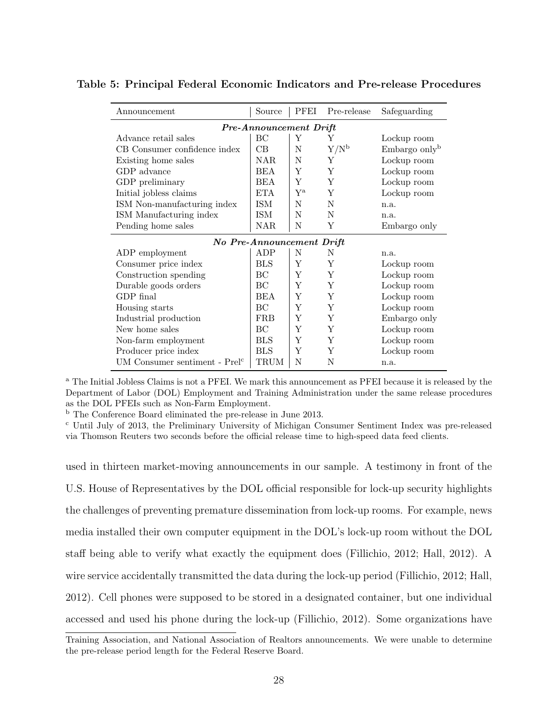| Announcement                    | Source     | <b>PFEI</b>       | Pre-release | Safeguarding              |  |  |
|---------------------------------|------------|-------------------|-------------|---------------------------|--|--|
| <b>Pre-Announcement Drift</b>   |            |                   |             |                           |  |  |
| Advance retail sales            | ВC         | Y                 | Y           | Lockup room               |  |  |
| CB Consumer confidence index    | CB         | N                 | $Y/N^b$     | Embargo only <sup>b</sup> |  |  |
| Existing home sales             | NAR.       | N                 | Υ           | Lockup room               |  |  |
| GDP advance                     | BEA        | Y                 | Y           | Lockup room               |  |  |
| GDP preliminary                 | BEA        | Y                 | Y           | Lockup room               |  |  |
| Initial jobless claims          | <b>ETA</b> | ${\bf Y}^{\rm a}$ | Y           | Lockup room               |  |  |
| ISM Non-manufacturing index     | ISM        | N                 | N           | n.a.                      |  |  |
| ISM Manufacturing index         | ISM        | N                 | N           | n.a.                      |  |  |
| Pending home sales              | NAR.       | N                 | Y           | Embargo only              |  |  |
| No Pre-Announcement Drift       |            |                   |             |                           |  |  |
| ADP employment                  | ADP        | N                 | N           | n.a.                      |  |  |
| Consumer price index            | <b>BLS</b> | Y                 | Y           | Lockup room               |  |  |
| Construction spending           | BC         | Y                 | Y           | Lockup room               |  |  |
| Durable goods orders            | ВC         | Y                 | Y           | Lockup room               |  |  |
| GDP final                       | <b>BEA</b> | Y                 | Y           | Lockup room               |  |  |
| Housing starts                  | BC         | Y                 | Y           | Lockup room               |  |  |
| Industrial production           | <b>FRB</b> | Y                 | Y           | Embargo only              |  |  |
| New home sales                  | BC         | Y                 | Y           | Lockup room               |  |  |
| Non-farm employment             | <b>BLS</b> | Y                 | Y           | Lockup room               |  |  |
| Producer price index            | <b>BLS</b> | Y                 | Y           | Lockup room               |  |  |
| UM Consumer sentiment - $Prelc$ | TRUM       | N                 | N           | n.a.                      |  |  |

#### Table 5: Principal Federal Economic Indicators and Pre-release Procedures

<sup>a</sup> The Initial Jobless Claims is not a PFEI. We mark this announcement as PFEI because it is released by the Department of Labor (DOL) Employment and Training Administration under the same release procedures as the DOL PFEIs such as Non-Farm Employment.

<sup>b</sup> The Conference Board eliminated the pre-release in June 2013.

<sup>c</sup> Until July of 2013, the Preliminary University of Michigan Consumer Sentiment Index was pre-released via Thomson Reuters two seconds before the official release time to high-speed data feed clients.

used in thirteen market-moving announcements in our sample. A testimony in front of the U.S. House of Representatives by the DOL official responsible for lock-up security highlights the challenges of preventing premature dissemination from lock-up rooms. For example, news media installed their own computer equipment in the DOL's lock-up room without the DOL staff being able to verify what exactly the equipment does (Fillichio, 2012; Hall, 2012). A wire service accidentally transmitted the data during the lock-up period (Fillichio, 2012; Hall, 2012). Cell phones were supposed to be stored in a designated container, but one individual accessed and used his phone during the lock-up (Fillichio, 2012). Some organizations have

Training Association, and National Association of Realtors announcements. We were unable to determine the pre-release period length for the Federal Reserve Board.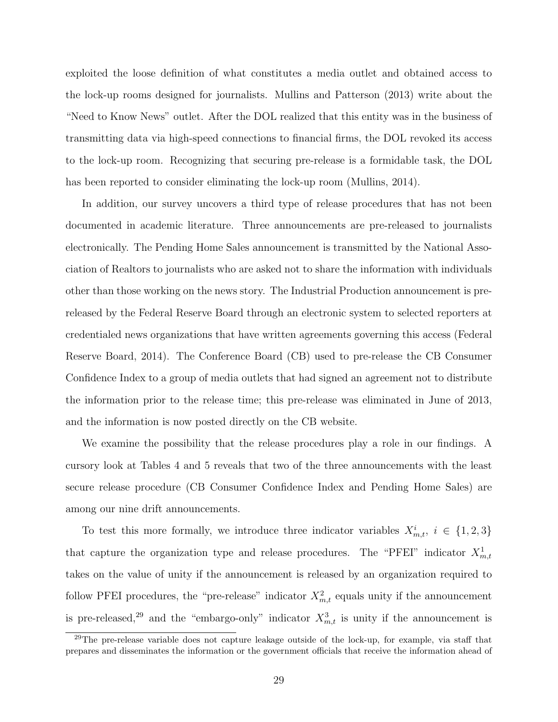exploited the loose definition of what constitutes a media outlet and obtained access to the lock-up rooms designed for journalists. Mullins and Patterson (2013) write about the "Need to Know News" outlet. After the DOL realized that this entity was in the business of transmitting data via high-speed connections to financial firms, the DOL revoked its access to the lock-up room. Recognizing that securing pre-release is a formidable task, the DOL has been reported to consider eliminating the lock-up room (Mullins, 2014).

In addition, our survey uncovers a third type of release procedures that has not been documented in academic literature. Three announcements are pre-released to journalists electronically. The Pending Home Sales announcement is transmitted by the National Association of Realtors to journalists who are asked not to share the information with individuals other than those working on the news story. The Industrial Production announcement is prereleased by the Federal Reserve Board through an electronic system to selected reporters at credentialed news organizations that have written agreements governing this access (Federal Reserve Board, 2014). The Conference Board (CB) used to pre-release the CB Consumer Confidence Index to a group of media outlets that had signed an agreement not to distribute the information prior to the release time; this pre-release was eliminated in June of 2013, and the information is now posted directly on the CB website.

We examine the possibility that the release procedures play a role in our findings. A cursory look at Tables 4 and 5 reveals that two of the three announcements with the least secure release procedure (CB Consumer Confidence Index and Pending Home Sales) are among our nine drift announcements.

To test this more formally, we introduce three indicator variables  $X_{m,t}^i$ ,  $i \in \{1,2,3\}$ that capture the organization type and release procedures. The "PFEI" indicator  $X_{m,t}^1$ takes on the value of unity if the announcement is released by an organization required to follow PFEI procedures, the "pre-release" indicator  $X_{m,t}^2$  equals unity if the announcement is pre-released,<sup>29</sup> and the "embargo-only" indicator  $X_{m,t}^3$  is unity if the announcement is

<sup>&</sup>lt;sup>29</sup>The pre-release variable does not capture leakage outside of the lock-up, for example, via staff that prepares and disseminates the information or the government officials that receive the information ahead of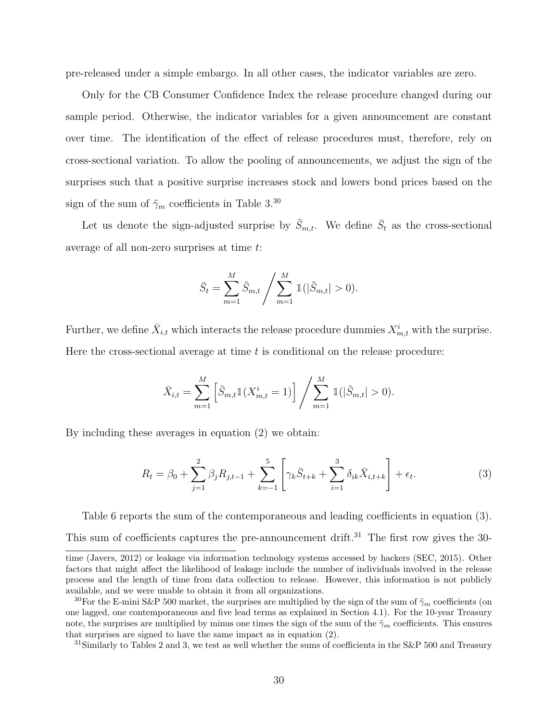pre-released under a simple embargo. In all other cases, the indicator variables are zero.

Only for the CB Consumer Confidence Index the release procedure changed during our sample period. Otherwise, the indicator variables for a given announcement are constant over time. The identification of the effect of release procedures must, therefore, rely on cross-sectional variation. To allow the pooling of announcements, we adjust the sign of the surprises such that a positive surprise increases stock and lowers bond prices based on the sign of the sum of  $\tilde{\gamma}_m$  coefficients in Table 3.<sup>30</sup>

Let us denote the sign-adjusted surprise by  $\tilde{S}_{m,t}$ . We define  $\bar{S}_t$  as the cross-sectional average of all non-zero surprises at time t:

$$
\bar{S}_t = \sum_{m=1}^{M} \tilde{S}_{m,t} / \sum_{m=1}^{M} \mathbb{1}(|\tilde{S}_{m,t}| > 0).
$$

Further, we define  $\bar{X}_{i,t}$  which interacts the release procedure dummies  $X_{m,t}^i$  with the surprise. Here the cross-sectional average at time  $t$  is conditional on the release procedure:

$$
\bar{X}_{i,t} = \sum_{m=1}^{M} \left[ \tilde{S}_{m,t} \mathbb{1}(X_{m,t}^{i} = 1) \right] / \sum_{m=1}^{M} \mathbb{1}(|\tilde{S}_{m,t}| > 0).
$$

By including these averages in equation (2) we obtain:

$$
R_t = \beta_0 + \sum_{j=1}^2 \beta_j R_{j,t-1} + \sum_{k=-1}^5 \left[ \gamma_k \bar{S}_{t+k} + \sum_{i=1}^3 \delta_{ik} \bar{X}_{i,t+k} \right] + \epsilon_t.
$$
 (3)

Table 6 reports the sum of the contemporaneous and leading coefficients in equation (3).

This sum of coefficients captures the pre-announcement drift.<sup>31</sup> The first row gives the 30-

time (Javers, 2012) or leakage via information technology systems accessed by hackers (SEC, 2015). Other factors that might affect the likelihood of leakage include the number of individuals involved in the release process and the length of time from data collection to release. However, this information is not publicly available, and we were unable to obtain it from all organizations.

<sup>&</sup>lt;sup>30</sup>For the E-mini S&P 500 market, the surprises are multiplied by the sign of the sum of  $\tilde{\gamma}_m$  coefficients (on one lagged, one contemporaneous and five lead terms as explained in Section 4.1). For the 10-year Treasury note, the surprises are multiplied by minus one times the sign of the sum of the  $\tilde{\gamma}_m$  coefficients. This ensures that surprises are signed to have the same impact as in equation (2).

 $31$ Similarly to Tables 2 and 3, we test as well whether the sums of coefficients in the S&P 500 and Treasury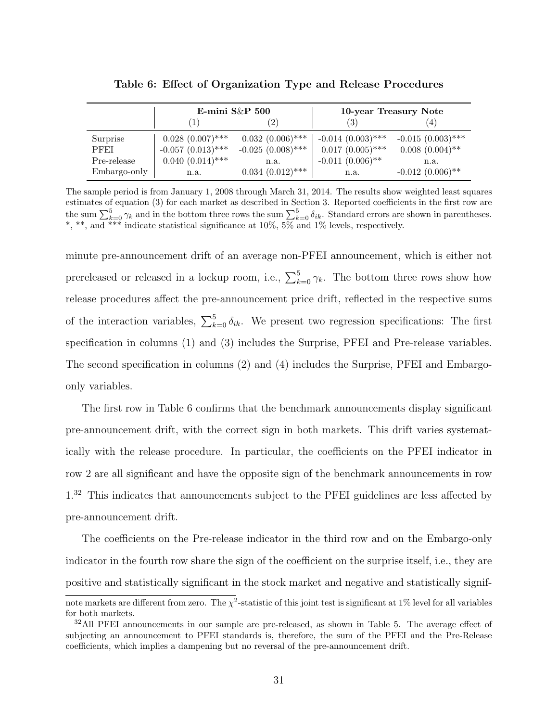|              |                        | E-mini $S\&P$ 500      |                      | 10-year Treasury Note |
|--------------|------------------------|------------------------|----------------------|-----------------------|
|              | $\left(1\right)$       | $\left 2\right\rangle$ | (3)                  | 4)                    |
| Surprise     | $0.028~(0.007)$ ***    | $0.032(0.006)$ ***     | $-0.014~(0.003)$ *** | $-0.015(0.003)$ ***   |
| <b>PFEI</b>  | $-0.057$ $(0.013)$ *** | $-0.025(0.008)$ ***    | $0.017(0.005)$ ***   | $0.008$ $(0.004)$ **  |
| Pre-release  | $0.040~(0.014)$ ***    | n.a.                   | $-0.011(0.006)$ **   | n.a.                  |
| Embargo-only | n.a.                   | $0.034~(0.012)$ ***    | n.a.                 | $-0.012(0.006)$ **    |

Table 6: Effect of Organization Type and Release Procedures

The sample period is from January 1, 2008 through March 31, 2014. The results show weighted least squares estimates of equation (3) for each market as described in Section 3. Reported coefficients in the first row are the sum  $\sum_{k=0}^{5} \gamma_k$  and in the bottom three rows the sum  $\sum_{k=0}^{5} \delta_{ik}$ . Standard errors are shown in parentheses. \*, \*\*, and \*\*\* indicate statistical significance at 10%, 5% and 1% levels, respectively.

minute pre-announcement drift of an average non-PFEI announcement, which is either not prereleased or released in a lockup room, i.e.,  $\sum_{k=0}^{5} \gamma_k$ . The bottom three rows show how release procedures affect the pre-announcement price drift, reflected in the respective sums of the interaction variables,  $\sum_{k=0}^{5} \delta_{ik}$ . We present two regression specifications: The first specification in columns (1) and (3) includes the Surprise, PFEI and Pre-release variables. The second specification in columns (2) and (4) includes the Surprise, PFEI and Embargoonly variables.

The first row in Table 6 confirms that the benchmark announcements display significant pre-announcement drift, with the correct sign in both markets. This drift varies systematically with the release procedure. In particular, the coefficients on the PFEI indicator in row 2 are all significant and have the opposite sign of the benchmark announcements in row 1.<sup>32</sup> This indicates that announcements subject to the PFEI guidelines are less affected by pre-announcement drift.

The coefficients on the Pre-release indicator in the third row and on the Embargo-only indicator in the fourth row share the sign of the coefficient on the surprise itself, i.e., they are positive and statistically significant in the stock market and negative and statistically signif-

note markets are different from zero. The  $\chi^2$ -statistic of this joint test is significant at 1% level for all variables for both markets.

<sup>&</sup>lt;sup>32</sup>All PFEI announcements in our sample are pre-released, as shown in Table 5. The average effect of subjecting an announcement to PFEI standards is, therefore, the sum of the PFEI and the Pre-Release coefficients, which implies a dampening but no reversal of the pre-announcement drift.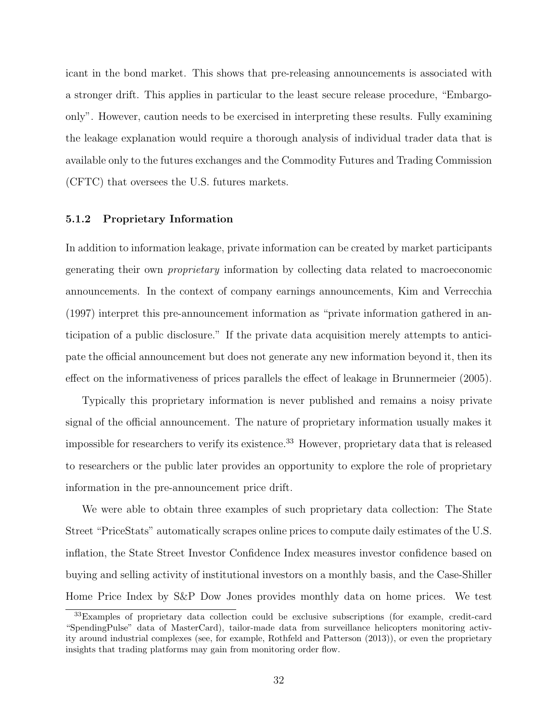icant in the bond market. This shows that pre-releasing announcements is associated with a stronger drift. This applies in particular to the least secure release procedure, "Embargoonly". However, caution needs to be exercised in interpreting these results. Fully examining the leakage explanation would require a thorough analysis of individual trader data that is available only to the futures exchanges and the Commodity Futures and Trading Commission (CFTC) that oversees the U.S. futures markets.

#### 5.1.2 Proprietary Information

In addition to information leakage, private information can be created by market participants generating their own proprietary information by collecting data related to macroeconomic announcements. In the context of company earnings announcements, Kim and Verrecchia (1997) interpret this pre-announcement information as "private information gathered in anticipation of a public disclosure." If the private data acquisition merely attempts to anticipate the official announcement but does not generate any new information beyond it, then its effect on the informativeness of prices parallels the effect of leakage in Brunnermeier (2005).

Typically this proprietary information is never published and remains a noisy private signal of the official announcement. The nature of proprietary information usually makes it impossible for researchers to verify its existence.<sup>33</sup> However, proprietary data that is released to researchers or the public later provides an opportunity to explore the role of proprietary information in the pre-announcement price drift.

We were able to obtain three examples of such proprietary data collection: The State Street "PriceStats" automatically scrapes online prices to compute daily estimates of the U.S. inflation, the State Street Investor Confidence Index measures investor confidence based on buying and selling activity of institutional investors on a monthly basis, and the Case-Shiller Home Price Index by S&P Dow Jones provides monthly data on home prices. We test

<sup>33</sup>Examples of proprietary data collection could be exclusive subscriptions (for example, credit-card "SpendingPulse" data of MasterCard), tailor-made data from surveillance helicopters monitoring activity around industrial complexes (see, for example, Rothfeld and Patterson (2013)), or even the proprietary insights that trading platforms may gain from monitoring order flow.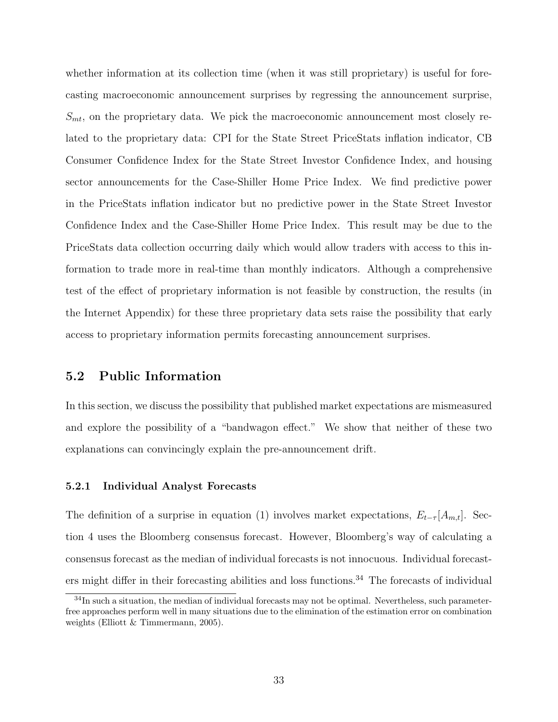whether information at its collection time (when it was still proprietary) is useful for forecasting macroeconomic announcement surprises by regressing the announcement surprise,  $S_{mt}$ , on the proprietary data. We pick the macroeconomic announcement most closely related to the proprietary data: CPI for the State Street PriceStats inflation indicator, CB Consumer Confidence Index for the State Street Investor Confidence Index, and housing sector announcements for the Case-Shiller Home Price Index. We find predictive power in the PriceStats inflation indicator but no predictive power in the State Street Investor Confidence Index and the Case-Shiller Home Price Index. This result may be due to the PriceStats data collection occurring daily which would allow traders with access to this information to trade more in real-time than monthly indicators. Although a comprehensive test of the effect of proprietary information is not feasible by construction, the results (in the Internet Appendix) for these three proprietary data sets raise the possibility that early access to proprietary information permits forecasting announcement surprises.

### 5.2 Public Information

In this section, we discuss the possibility that published market expectations are mismeasured and explore the possibility of a "bandwagon effect." We show that neither of these two explanations can convincingly explain the pre-announcement drift.

#### 5.2.1 Individual Analyst Forecasts

The definition of a surprise in equation (1) involves market expectations,  $E_{t-\tau}[A_{m,t}]$ . Section 4 uses the Bloomberg consensus forecast. However, Bloomberg's way of calculating a consensus forecast as the median of individual forecasts is not innocuous. Individual forecasters might differ in their forecasting abilities and loss functions. $34$  The forecasts of individual

 $34$ In such a situation, the median of individual forecasts may not be optimal. Nevertheless, such parameterfree approaches perform well in many situations due to the elimination of the estimation error on combination weights (Elliott & Timmermann, 2005).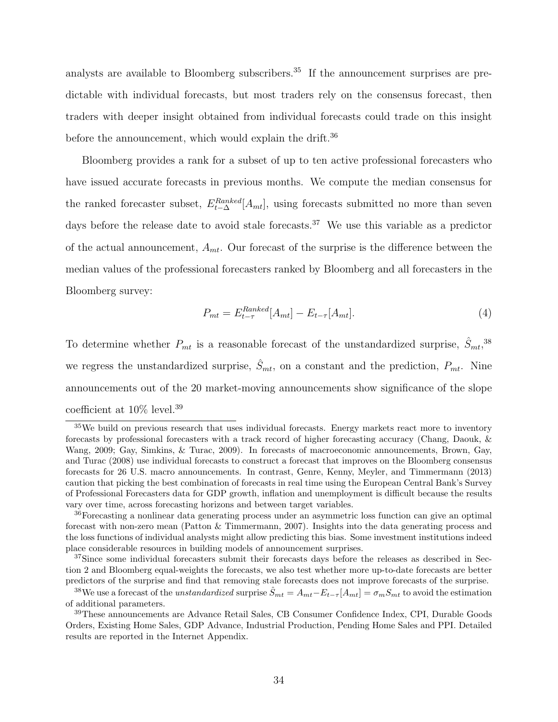analysts are available to Bloomberg subscribers.<sup>35</sup> If the announcement surprises are predictable with individual forecasts, but most traders rely on the consensus forecast, then traders with deeper insight obtained from individual forecasts could trade on this insight before the announcement, which would explain the drift.<sup>36</sup>

Bloomberg provides a rank for a subset of up to ten active professional forecasters who have issued accurate forecasts in previous months. We compute the median consensus for the ranked forecaster subset,  $E_{t-\Delta}^{Ranked}[A_{mt}]$ , using forecasts submitted no more than seven days before the release date to avoid stale forecasts.<sup>37</sup> We use this variable as a predictor of the actual announcement,  $A_{mt}$ . Our forecast of the surprise is the difference between the median values of the professional forecasters ranked by Bloomberg and all forecasters in the Bloomberg survey:

$$
P_{mt} = E_{t-\tau}^{Ranked} [A_{mt}] - E_{t-\tau} [A_{mt}]. \tag{4}
$$

To determine whether  $P_{mt}$  is a reasonable forecast of the unstandardized surprise,  $\hat{S}_{mt}$ ,<sup>38</sup> we regress the unstandardized surprise,  $\hat{S}_{mt}$ , on a constant and the prediction,  $P_{mt}$ . Nine announcements out of the 20 market-moving announcements show significance of the slope coefficient at 10% level.<sup>39</sup>

<sup>35</sup>We build on previous research that uses individual forecasts. Energy markets react more to inventory forecasts by professional forecasters with a track record of higher forecasting accuracy (Chang, Daouk, & Wang, 2009; Gay, Simkins, & Turac, 2009). In forecasts of macroeconomic announcements, Brown, Gay, and Turac (2008) use individual forecasts to construct a forecast that improves on the Bloomberg consensus forecasts for 26 U.S. macro announcements. In contrast, Genre, Kenny, Meyler, and Timmermann (2013) caution that picking the best combination of forecasts in real time using the European Central Bank's Survey of Professional Forecasters data for GDP growth, inflation and unemployment is difficult because the results vary over time, across forecasting horizons and between target variables.

<sup>&</sup>lt;sup>36</sup>Forecasting a nonlinear data generating process under an asymmetric loss function can give an optimal forecast with non-zero mean (Patton & Timmermann, 2007). Insights into the data generating process and the loss functions of individual analysts might allow predicting this bias. Some investment institutions indeed place considerable resources in building models of announcement surprises.

<sup>&</sup>lt;sup>37</sup>Since some individual forecasters submit their forecasts days before the releases as described in Section 2 and Bloomberg equal-weights the forecasts, we also test whether more up-to-date forecasts are better predictors of the surprise and find that removing stale forecasts does not improve forecasts of the surprise.

<sup>&</sup>lt;sup>38</sup>We use a forecast of the *unstandardized* surprise  $\hat{S}_{mt} = A_{mt} - E_{t-\tau}[A_{mt}] = \sigma_m S_{mt}$  to avoid the estimation of additional parameters.

<sup>39</sup>These announcements are Advance Retail Sales, CB Consumer Confidence Index, CPI, Durable Goods Orders, Existing Home Sales, GDP Advance, Industrial Production, Pending Home Sales and PPI. Detailed results are reported in the Internet Appendix.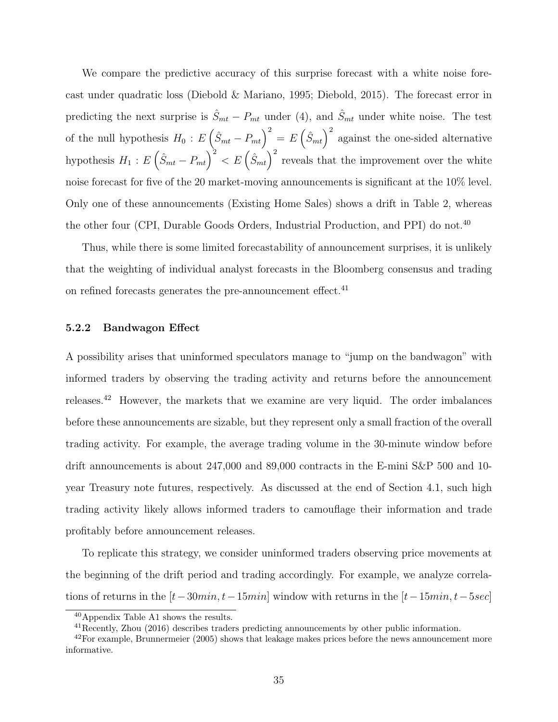We compare the predictive accuracy of this surprise forecast with a white noise forecast under quadratic loss (Diebold & Mariano, 1995; Diebold, 2015). The forecast error in predicting the next surprise is  $\hat{S}_{mt} - P_{mt}$  under (4), and  $\hat{S}_{mt}$  under white noise. The test of the null hypothesis  $H_0: E(\hat{S}_{mt} - P_{mt})^2 = E(\hat{S}_{mt})^2$  against the one-sided alternative hypothesis  $H_1: E(\hat{S}_{mt} - P_{mt})^2 < E(\hat{S}_{mt})^2$  reveals that the improvement over the white noise forecast for five of the 20 market-moving announcements is significant at the 10% level. Only one of these announcements (Existing Home Sales) shows a drift in Table 2, whereas the other four (CPI, Durable Goods Orders, Industrial Production, and PPI) do not.<sup>40</sup>

Thus, while there is some limited forecastability of announcement surprises, it is unlikely that the weighting of individual analyst forecasts in the Bloomberg consensus and trading on refined forecasts generates the pre-announcement effect. $41$ 

#### 5.2.2 Bandwagon Effect

A possibility arises that uninformed speculators manage to "jump on the bandwagon" with informed traders by observing the trading activity and returns before the announcement releases.<sup>42</sup> However, the markets that we examine are very liquid. The order imbalances before these announcements are sizable, but they represent only a small fraction of the overall trading activity. For example, the average trading volume in the 30-minute window before drift announcements is about 247,000 and 89,000 contracts in the E-mini S&P 500 and 10year Treasury note futures, respectively. As discussed at the end of Section 4.1, such high trading activity likely allows informed traders to camouflage their information and trade profitably before announcement releases.

To replicate this strategy, we consider uninformed traders observing price movements at the beginning of the drift period and trading accordingly. For example, we analyze correlations of returns in the  $[t-30min, t-15min]$  window with returns in the  $[t-15min, t-5sec]$ 

<sup>40</sup>Appendix Table A1 shows the results.

<sup>41</sup>Recently, Zhou (2016) describes traders predicting announcements by other public information.

 $^{42}$ For example, Brunnermeier (2005) shows that leakage makes prices before the news announcement more informative.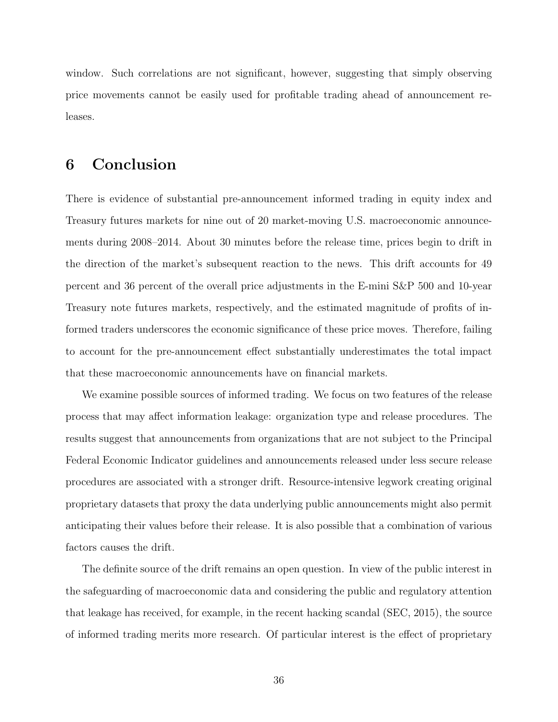window. Such correlations are not significant, however, suggesting that simply observing price movements cannot be easily used for profitable trading ahead of announcement releases.

# 6 Conclusion

There is evidence of substantial pre-announcement informed trading in equity index and Treasury futures markets for nine out of 20 market-moving U.S. macroeconomic announcements during 2008–2014. About 30 minutes before the release time, prices begin to drift in the direction of the market's subsequent reaction to the news. This drift accounts for 49 percent and 36 percent of the overall price adjustments in the E-mini S&P 500 and 10-year Treasury note futures markets, respectively, and the estimated magnitude of profits of informed traders underscores the economic significance of these price moves. Therefore, failing to account for the pre-announcement effect substantially underestimates the total impact that these macroeconomic announcements have on financial markets.

We examine possible sources of informed trading. We focus on two features of the release process that may affect information leakage: organization type and release procedures. The results suggest that announcements from organizations that are not subject to the Principal Federal Economic Indicator guidelines and announcements released under less secure release procedures are associated with a stronger drift. Resource-intensive legwork creating original proprietary datasets that proxy the data underlying public announcements might also permit anticipating their values before their release. It is also possible that a combination of various factors causes the drift.

The definite source of the drift remains an open question. In view of the public interest in the safeguarding of macroeconomic data and considering the public and regulatory attention that leakage has received, for example, in the recent hacking scandal (SEC, 2015), the source of informed trading merits more research. Of particular interest is the effect of proprietary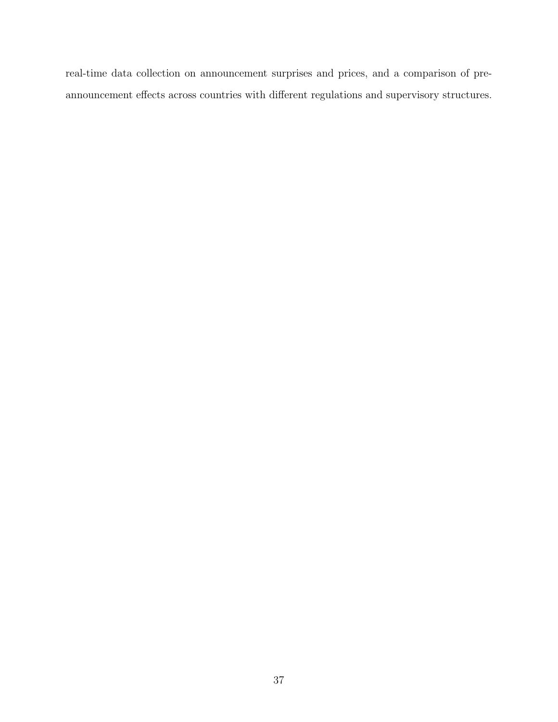real-time data collection on announcement surprises and prices, and a comparison of preannouncement effects across countries with different regulations and supervisory structures.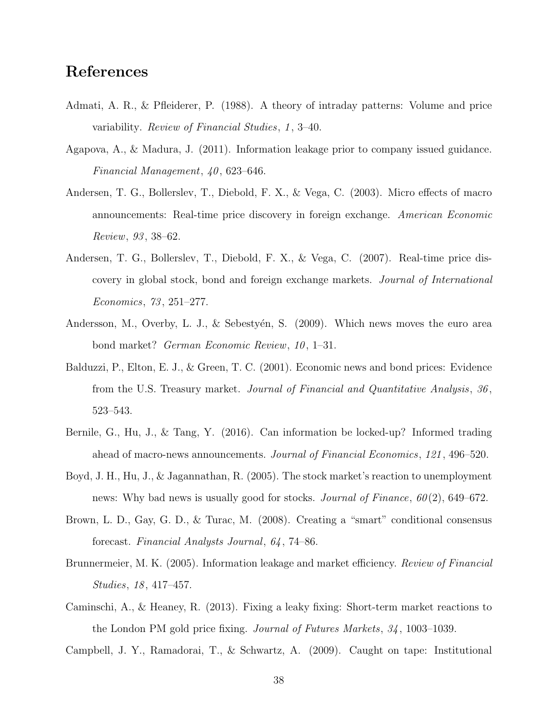# References

- Admati, A. R., & Pfleiderer, P. (1988). A theory of intraday patterns: Volume and price variability. Review of Financial Studies, 1 , 3–40.
- Agapova, A., & Madura, J. (2011). Information leakage prior to company issued guidance. Financial Management,  $40, 623-646$ .
- Andersen, T. G., Bollerslev, T., Diebold, F. X., & Vega, C. (2003). Micro effects of macro announcements: Real-time price discovery in foreign exchange. American Economic Review, 93 , 38–62.
- Andersen, T. G., Bollerslev, T., Diebold, F. X., & Vega, C. (2007). Real-time price discovery in global stock, bond and foreign exchange markets. Journal of International Economics, 73 , 251–277.
- Andersson, M., Overby, L. J., & Sebestyén, S.  $(2009)$ . Which news moves the euro area bond market? *German Economic Review*, 10, 1–31.
- Balduzzi, P., Elton, E. J., & Green, T. C. (2001). Economic news and bond prices: Evidence from the U.S. Treasury market. Journal of Financial and Quantitative Analysis, 36 , 523–543.
- Bernile, G., Hu, J., & Tang, Y. (2016). Can information be locked-up? Informed trading ahead of macro-news announcements. Journal of Financial Economics, 121 , 496–520.
- Boyd, J. H., Hu, J., & Jagannathan, R. (2005). The stock market's reaction to unemployment news: Why bad news is usually good for stocks. Journal of Finance,  $60(2)$ , 649–672.
- Brown, L. D., Gay, G. D., & Turac, M. (2008). Creating a "smart" conditional consensus forecast. Financial Analysts Journal, 64 , 74–86.
- Brunnermeier, M. K. (2005). Information leakage and market efficiency. Review of Financial Studies, 18 , 417–457.
- Caminschi, A., & Heaney, R. (2013). Fixing a leaky fixing: Short-term market reactions to the London PM gold price fixing. Journal of Futures Markets, 34 , 1003–1039.

Campbell, J. Y., Ramadorai, T., & Schwartz, A. (2009). Caught on tape: Institutional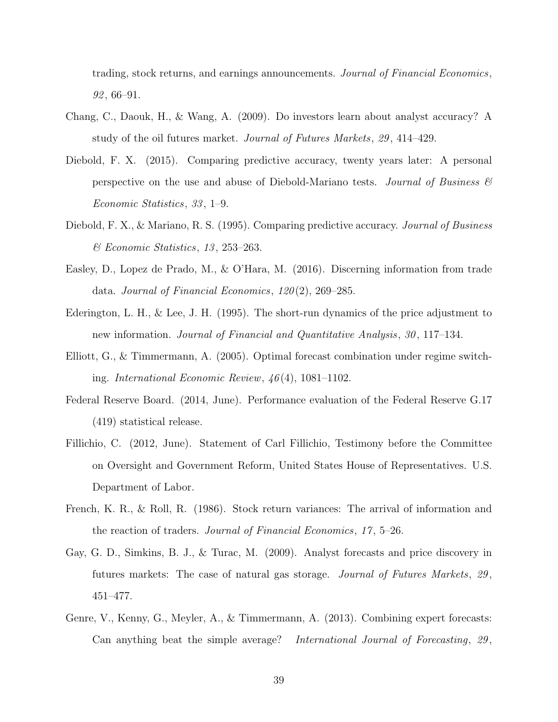trading, stock returns, and earnings announcements. Journal of Financial Economics,  $92,66-91.$ 

- Chang, C., Daouk, H., & Wang, A. (2009). Do investors learn about analyst accuracy? A study of the oil futures market. Journal of Futures Markets, 29 , 414–429.
- Diebold, F. X. (2015). Comparing predictive accuracy, twenty years later: A personal perspective on the use and abuse of Diebold-Mariano tests. Journal of Business  $\mathcal{B}$ Economic Statistics, 33 , 1–9.
- Diebold, F. X., & Mariano, R. S. (1995). Comparing predictive accuracy. Journal of Business & Economic Statistics, 13 , 253–263.
- Easley, D., Lopez de Prado, M., & O'Hara, M. (2016). Discerning information from trade data. Journal of Financial Economics,  $120(2)$ ,  $269-285$ .
- Ederington, L. H., & Lee, J. H. (1995). The short-run dynamics of the price adjustment to new information. Journal of Financial and Quantitative Analysis, 30 , 117–134.
- Elliott, G., & Timmermann, A. (2005). Optimal forecast combination under regime switching. International Economic Review, 46 (4), 1081–1102.
- Federal Reserve Board. (2014, June). Performance evaluation of the Federal Reserve G.17 (419) statistical release.
- Fillichio, C. (2012, June). Statement of Carl Fillichio, Testimony before the Committee on Oversight and Government Reform, United States House of Representatives. U.S. Department of Labor.
- French, K. R., & Roll, R. (1986). Stock return variances: The arrival of information and the reaction of traders. Journal of Financial Economics, 17 , 5–26.
- Gay, G. D., Simkins, B. J., & Turac, M. (2009). Analyst forecasts and price discovery in futures markets: The case of natural gas storage. Journal of Futures Markets, 29 , 451–477.
- Genre, V., Kenny, G., Meyler, A., & Timmermann, A. (2013). Combining expert forecasts: Can anything beat the simple average? International Journal of Forecasting, 29,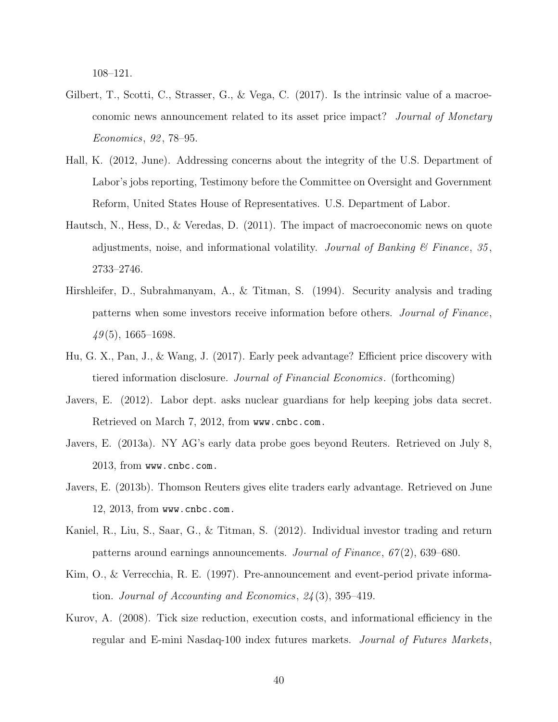108–121.

- Gilbert, T., Scotti, C., Strasser, G., & Vega, C. (2017). Is the intrinsic value of a macroeconomic news announcement related to its asset price impact? Journal of Monetary Economics, 92 , 78–95.
- Hall, K. (2012, June). Addressing concerns about the integrity of the U.S. Department of Labor's jobs reporting, Testimony before the Committee on Oversight and Government Reform, United States House of Representatives. U.S. Department of Labor.
- Hautsch, N., Hess, D., & Veredas, D. (2011). The impact of macroeconomic news on quote adjustments, noise, and informational volatility. Journal of Banking  $\mathcal C$  Finance, 35, 2733–2746.
- Hirshleifer, D., Subrahmanyam, A., & Titman, S. (1994). Security analysis and trading patterns when some investors receive information before others. Journal of Finance,  $49(5)$ , 1665–1698.
- Hu, G. X., Pan, J., & Wang, J. (2017). Early peek advantage? Efficient price discovery with tiered information disclosure. Journal of Financial Economics. (forthcoming)
- Javers, E. (2012). Labor dept. asks nuclear guardians for help keeping jobs data secret. Retrieved on March 7, 2012, from www.cnbc.com.
- Javers, E. (2013a). NY AG's early data probe goes beyond Reuters. Retrieved on July 8, 2013, from www.cnbc.com.
- Javers, E. (2013b). Thomson Reuters gives elite traders early advantage. Retrieved on June 12, 2013, from www.cnbc.com.
- Kaniel, R., Liu, S., Saar, G., & Titman, S. (2012). Individual investor trading and return patterns around earnings announcements. Journal of Finance,  $67(2)$ , 639–680.
- Kim, O., & Verrecchia, R. E. (1997). Pre-announcement and event-period private information. Journal of Accounting and Economics,  $24(3)$ , 395–419.
- Kurov, A. (2008). Tick size reduction, execution costs, and informational efficiency in the regular and E-mini Nasdaq-100 index futures markets. Journal of Futures Markets,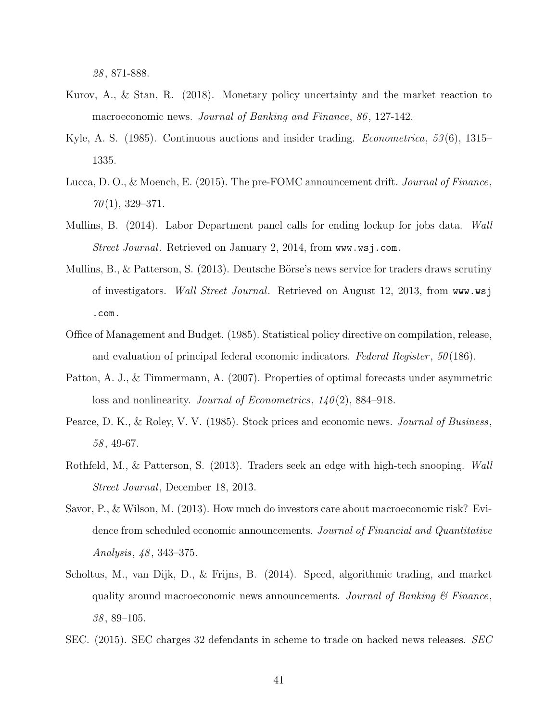28 , 871-888.

- Kurov, A., & Stan, R. (2018). Monetary policy uncertainty and the market reaction to macroeconomic news. Journal of Banking and Finance, 86, 127-142.
- Kyle, A. S. (1985). Continuous auctions and insider trading. *Econometrica*, 53(6), 1315– 1335.
- Lucca, D. O., & Moench, E. (2015). The pre-FOMC announcement drift. Journal of Finance,  $70(1), 329-371.$
- Mullins, B. (2014). Labor Department panel calls for ending lockup for jobs data. Wall Street Journal. Retrieved on January 2, 2014, from www.wsj.com.
- Mullins, B., & Patterson, S.  $(2013)$ . Deutsche Börse's news service for traders draws scrutiny of investigators. Wall Street Journal. Retrieved on August 12, 2013, from www.wsj .com.
- Office of Management and Budget. (1985). Statistical policy directive on compilation, release, and evaluation of principal federal economic indicators. Federal Register , 50 (186).
- Patton, A. J., & Timmermann, A. (2007). Properties of optimal forecasts under asymmetric loss and nonlinearity. Journal of Econometrics,  $140(2)$ , 884–918.
- Pearce, D. K., & Roley, V. V. (1985). Stock prices and economic news. *Journal of Business*, 58 , 49-67.
- Rothfeld, M., & Patterson, S. (2013). Traders seek an edge with high-tech snooping. Wall Street Journal, December 18, 2013.
- Savor, P., & Wilson, M. (2013). How much do investors care about macroeconomic risk? Evidence from scheduled economic announcements. Journal of Financial and Quantitative Analysis, 48 , 343–375.
- Scholtus, M., van Dijk, D., & Frijns, B. (2014). Speed, algorithmic trading, and market quality around macroeconomic news announcements. Journal of Banking  $\mathcal{C}$  Finance, 38 , 89–105.
- SEC. (2015). SEC charges 32 defendants in scheme to trade on hacked news releases. SEC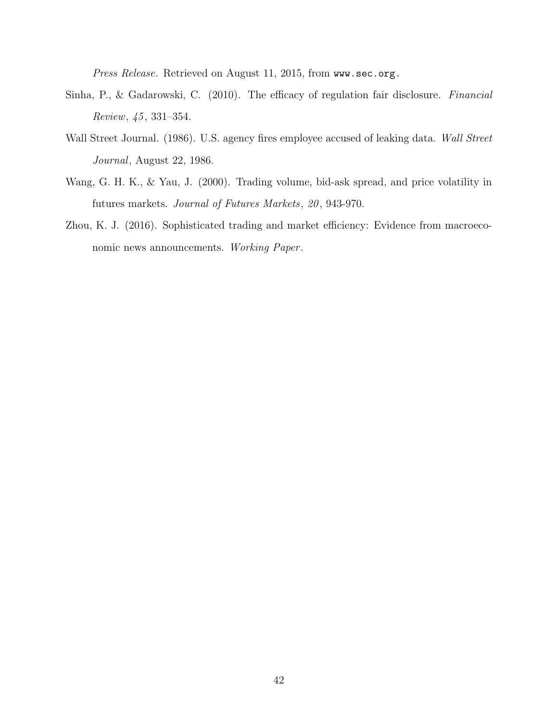Press Release. Retrieved on August 11, 2015, from www.sec.org.

- Sinha, P., & Gadarowski, C. (2010). The efficacy of regulation fair disclosure. Financial Review, 45 , 331–354.
- Wall Street Journal. (1986). U.S. agency fires employee accused of leaking data. Wall Street Journal, August 22, 1986.
- Wang, G. H. K., & Yau, J. (2000). Trading volume, bid-ask spread, and price volatility in futures markets. Journal of Futures Markets, 20 , 943-970.
- Zhou, K. J. (2016). Sophisticated trading and market efficiency: Evidence from macroeconomic news announcements. Working Paper.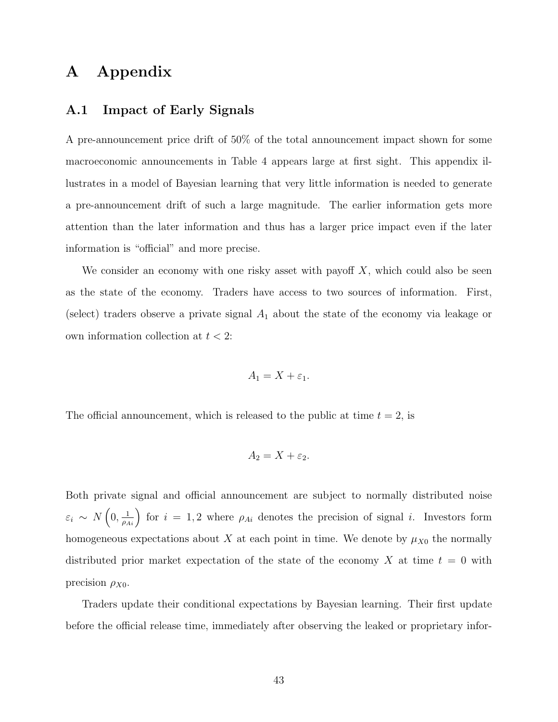# A Appendix

### A.1 Impact of Early Signals

A pre-announcement price drift of 50% of the total announcement impact shown for some macroeconomic announcements in Table 4 appears large at first sight. This appendix illustrates in a model of Bayesian learning that very little information is needed to generate a pre-announcement drift of such a large magnitude. The earlier information gets more attention than the later information and thus has a larger price impact even if the later information is "official" and more precise.

We consider an economy with one risky asset with payoff  $X$ , which could also be seen as the state of the economy. Traders have access to two sources of information. First, (select) traders observe a private signal  $A_1$  about the state of the economy via leakage or own information collection at  $t < 2$ :

$$
A_1 = X + \varepsilon_1.
$$

The official announcement, which is released to the public at time  $t = 2$ , is

$$
A_2 = X + \varepsilon_2.
$$

Both private signal and official announcement are subject to normally distributed noise  $\varepsilon_i \sim N\left(0, \frac{1}{\rho_{Ai}}\right)$  for  $i = 1, 2$  where  $\rho_{Ai}$  denotes the precision of signal i. Investors form homogeneous expectations about X at each point in time. We denote by  $\mu_{X0}$  the normally distributed prior market expectation of the state of the economy X at time  $t = 0$  with precision  $\rho_{X0}$ .

Traders update their conditional expectations by Bayesian learning. Their first update before the official release time, immediately after observing the leaked or proprietary infor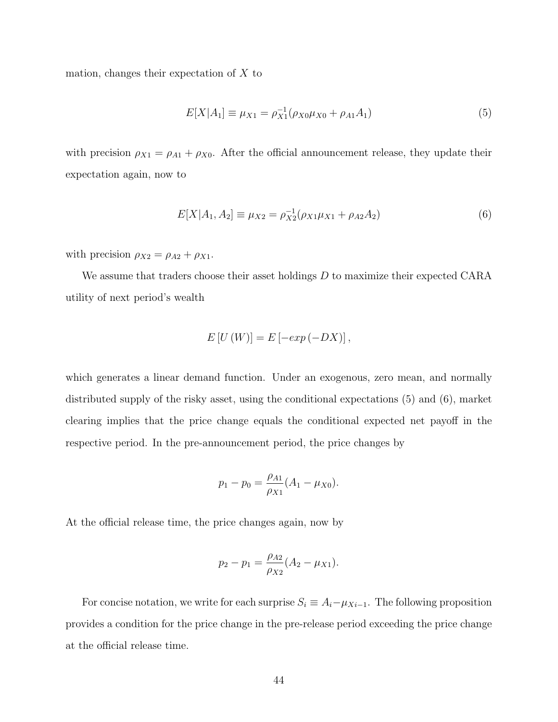mation, changes their expectation of  $X$  to

$$
E[X|A_1] \equiv \mu_{X1} = \rho_{X1}^{-1}(\rho_{X0}\mu_{X0} + \rho_{A1}A_1)
$$
\n(5)

with precision  $\rho_{X1} = \rho_{A1} + \rho_{X0}$ . After the official announcement release, they update their expectation again, now to

$$
E[X|A_1, A_2] \equiv \mu_{X2} = \rho_{X2}^{-1}(\rho_{X1}\mu_{X1} + \rho_{A2}A_2)
$$
\n(6)

with precision  $\rho_{X2} = \rho_{A2} + \rho_{X1}$ .

We assume that traders choose their asset holdings  $D$  to maximize their expected CARA utility of next period's wealth

$$
E[U(W)] = E[-exp(-DX)],
$$

which generates a linear demand function. Under an exogenous, zero mean, and normally distributed supply of the risky asset, using the conditional expectations (5) and (6), market clearing implies that the price change equals the conditional expected net payoff in the respective period. In the pre-announcement period, the price changes by

$$
p_1 - p_0 = \frac{\rho_{A1}}{\rho_{X1}} (A_1 - \mu_{X0}).
$$

At the official release time, the price changes again, now by

$$
p_2 - p_1 = \frac{\rho_{A2}}{\rho_{X2}} (A_2 - \mu_{X1}).
$$

For concise notation, we write for each surprise  $S_i \equiv A_i - \mu_{Xi-1}$ . The following proposition provides a condition for the price change in the pre-release period exceeding the price change at the official release time.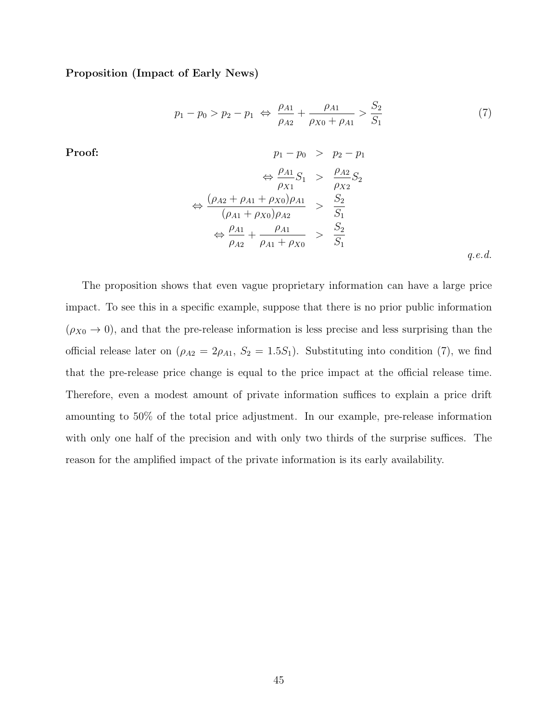Proposition (Impact of Early News)

$$
p_1 - p_0 > p_2 - p_1 \iff \frac{\rho_{A1}}{\rho_{A2}} + \frac{\rho_{A1}}{\rho_{X0} + \rho_{A1}} > \frac{S_2}{S_1}
$$
 (7)

Proof:  
\n
$$
p_{1} - p_{0} > p_{2} - p_{1}
$$
\n
$$
\Leftrightarrow \frac{\rho_{A1}}{\rho_{X1}} S_{1} > \frac{\rho_{A2}}{\rho_{X2}} S_{2}
$$
\n
$$
\Leftrightarrow \frac{(\rho_{A2} + \rho_{A1} + \rho_{X0})\rho_{A1}}{(\rho_{A1} + \rho_{X0})\rho_{A2}} > \frac{S_{2}}{S_{1}}
$$
\n
$$
\Leftrightarrow \frac{\rho_{A1}}{\rho_{A2}} + \frac{\rho_{A1}}{\rho_{A1} + \rho_{X0}} > \frac{S_{2}}{S_{1}}
$$

q.e.d.

The proposition shows that even vague proprietary information can have a large price impact. To see this in a specific example, suppose that there is no prior public information  $(\rho_{X0} \rightarrow 0)$ , and that the pre-release information is less precise and less surprising than the official release later on  $(\rho_{A2} = 2\rho_{A1}, S_2 = 1.5S_1)$ . Substituting into condition (7), we find that the pre-release price change is equal to the price impact at the official release time. Therefore, even a modest amount of private information suffices to explain a price drift amounting to 50% of the total price adjustment. In our example, pre-release information with only one half of the precision and with only two thirds of the surprise suffices. The reason for the amplified impact of the private information is its early availability.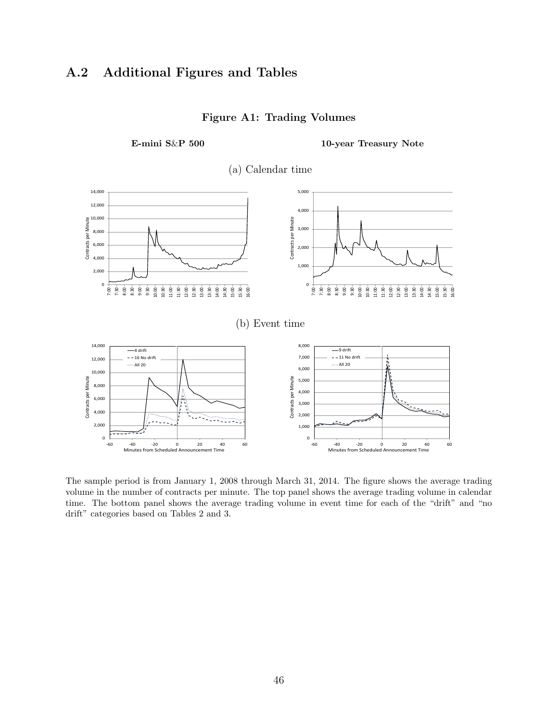# A.2 Additional Figures and Tables



#### Figure A1: Trading Volumes

E-mini S&P 500 10-year Treasury Note

The sample period is from January 1, 2008 through March 31, 2014. The figure shows the average trading volume in the number of contracts per minute. The top panel shows the average trading volume in calendar time. The bottom panel shows the average trading volume in event time for each of the "drift" and "no drift" categories based on Tables 2 and 3.